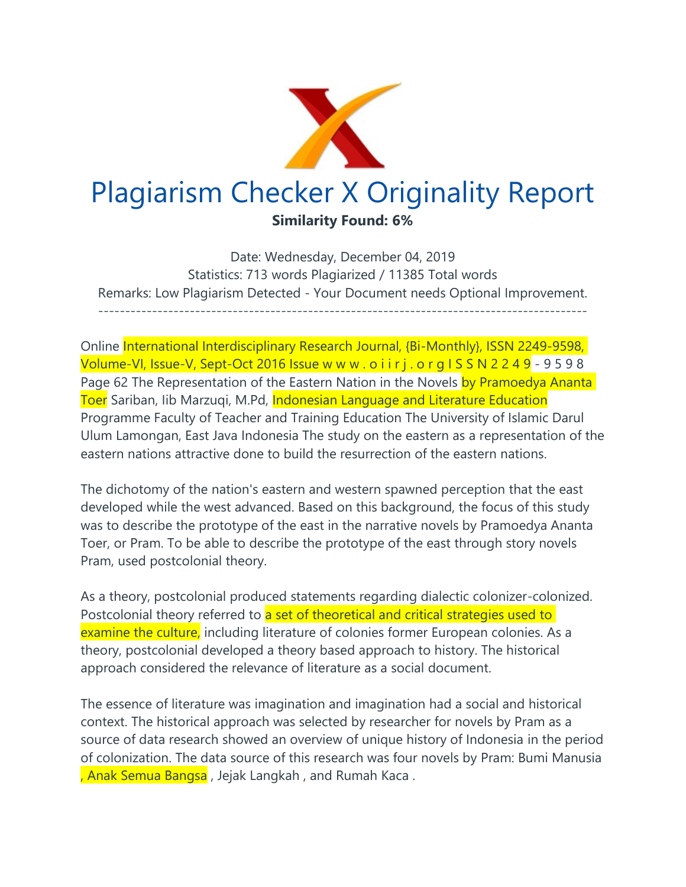

Date: Wednesday, December 04, 2019 Statistics: 713 words Plagiarized / 11385 Total words Remarks: Low Plagiarism Detected - Your Document needs Optional Improvement. -------------------------------------------------------------------------------------------

Online International Interdisciplinary Research Journal, {Bi-Monthly}, ISSN 2249-9598, Volume-VI, Issue-V, Sept-Oct 2016 Issue w w w . o i i r j . o r g I S S N 2 2 4 9 - 9 5 9 8 Page 62 The Representation of the Eastern Nation in the Novels by Pramoedya Ananta Toer Sariban, Iib Marzuqi, M.Pd, Indonesian Language and Literature Education Programme Faculty of Teacher and Training Education The University of Islamic Darul Ulum Lamongan, East Java Indonesia The study on the eastern as a representation of the eastern nations attractive done to build the resurrection of the eastern nations.

The dichotomy of the nation's eastern and western spawned perception that the east developed while the west advanced. Based on this background, the focus of this study was to describe the prototype of the east in the narrative novels by Pramoedya Ananta Toer, or Pram. To be able to describe the prototype of the east through story novels Pram, used postcolonial theory.

As a theory, postcolonial produced statements regarding dialectic colonizer-colonized. Postcolonial theory referred to a set of theoretical and critical strategies used to examine the culture, including literature of colonies former European colonies. As a theory, postcolonial developed a theory based approach to history. The historical approach considered the relevance of literature as a social document.

The essence of literature was imagination and imagination had a social and historical context. The historical approach was selected by researcher for novels by Pram as a source of data research showed an overview of unique history of Indonesia in the period of colonization. The data source of this research was four novels by Pram: Bumi Manusia , Anak Semua Bangsa , Jejak Langkah , and Rumah Kaca .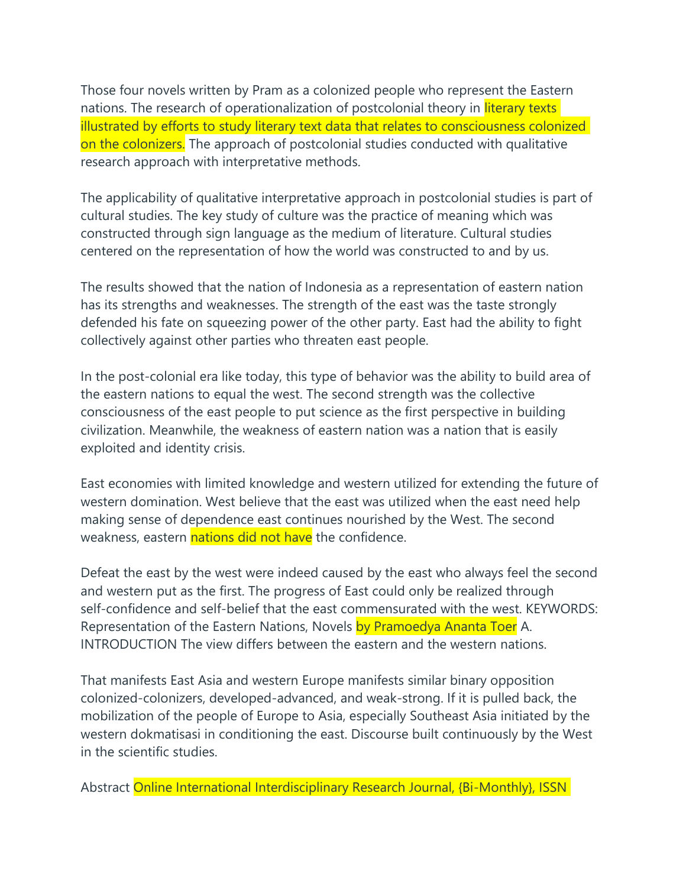Those four novels written by Pram as a colonized people who represent the Eastern nations. The research of operationalization of postcolonial theory in *literary texts* illustrated by efforts to study literary text data that relates to consciousness colonized on the colonizers. The approach of postcolonial studies conducted with qualitative research approach with interpretative methods.

The applicability of qualitative interpretative approach in postcolonial studies is part of cultural studies. The key study of culture was the practice of meaning which was constructed through sign language as the medium of literature. Cultural studies centered on the representation of how the world was constructed to and by us.

The results showed that the nation of Indonesia as a representation of eastern nation has its strengths and weaknesses. The strength of the east was the taste strongly defended his fate on squeezing power of the other party. East had the ability to fight collectively against other parties who threaten east people.

In the post-colonial era like today, this type of behavior was the ability to build area of the eastern nations to equal the west. The second strength was the collective consciousness of the east people to put science as the first perspective in building civilization. Meanwhile, the weakness of eastern nation was a nation that is easily exploited and identity crisis.

East economies with limited knowledge and western utilized for extending the future of western domination. West believe that the east was utilized when the east need help making sense of dependence east continues nourished by the West. The second weakness, eastern nations did not have the confidence.

Defeat the east by the west were indeed caused by the east who always feel the second and western put as the first. The progress of East could only be realized through self-confidence and self-belief that the east commensurated with the west. KEYWORDS: Representation of the Eastern Nations, Novels by Pramoedya Ananta Toer A. INTRODUCTION The view differs between the eastern and the western nations.

That manifests East Asia and western Europe manifests similar binary opposition colonized-colonizers, developed-advanced, and weak-strong. If it is pulled back, the mobilization of the people of Europe to Asia, especially Southeast Asia initiated by the western dokmatisasi in conditioning the east. Discourse built continuously by the West in the scientific studies.

Abstract Online International Interdisciplinary Research Journal, {Bi-Monthly}, ISSN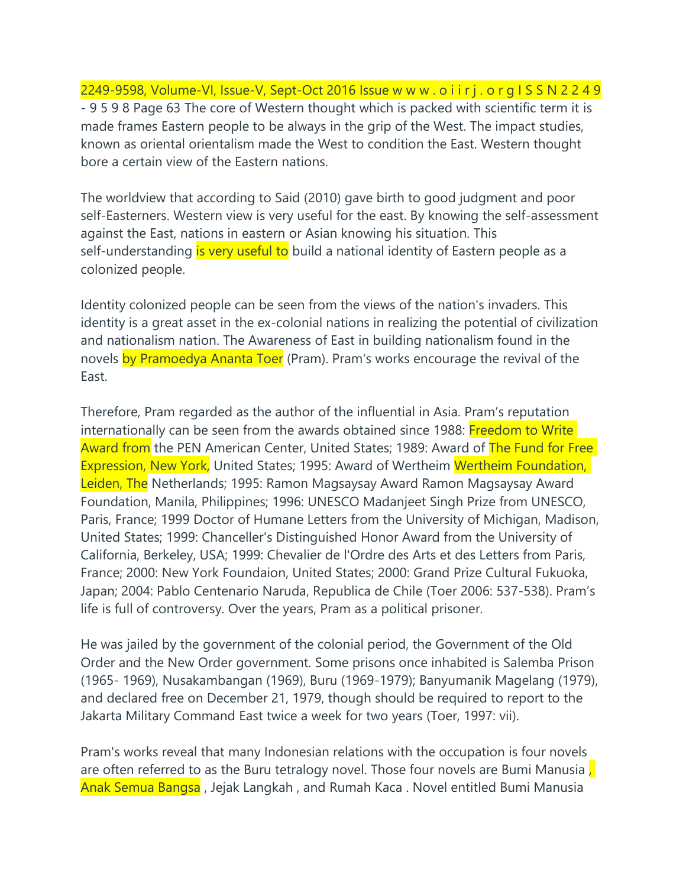2249-9598, Volume-VI, Issue-V, Sept-Oct 2016 Issue w w w . o i i r j . o r g I S S N 2 2 4 9 - 9 5 9 8 Page 63 The core of Western thought which is packed with scientific term it is made frames Eastern people to be always in the grip of the West. The impact studies, known as oriental orientalism made the West to condition the East. Western thought bore a certain view of the Eastern nations.

The worldview that according to Said (2010) gave birth to good judgment and poor self-Easterners. Western view is very useful for the east. By knowing the self-assessment against the East, nations in eastern or Asian knowing his situation. This self-understanding is very useful to build a national identity of Eastern people as a colonized people.

Identity colonized people can be seen from the views of the nation's invaders. This identity is a great asset in the ex-colonial nations in realizing the potential of civilization and nationalism nation. The Awareness of East in building nationalism found in the novels by Pramoedya Ananta Toer (Pram). Pram's works encourage the revival of the East.

Therefore, Pram regarded as the author of the influential in Asia. Pram's reputation internationally can be seen from the awards obtained since 1988: Freedom to Write Award from the PEN American Center, United States; 1989: Award of The Fund for Free Expression, New York, United States; 1995: Award of Wertheim Wertheim Foundation, Leiden, The Netherlands; 1995: Ramon Magsaysay Award Ramon Magsaysay Award Foundation, Manila, Philippines; 1996: UNESCO Madanjeet Singh Prize from UNESCO, Paris, France; 1999 Doctor of Humane Letters from the University of Michigan, Madison, United States; 1999: Chanceller's Distinguished Honor Award from the University of California, Berkeley, USA; 1999: Chevalier de l'Ordre des Arts et des Letters from Paris, France; 2000: New York Foundaion, United States; 2000: Grand Prize Cultural Fukuoka, Japan; 2004: Pablo Centenario Naruda, Republica de Chile (Toer 2006: 537-538). Pram's life is full of controversy. Over the years, Pram as a political prisoner.

He was jailed by the government of the colonial period, the Government of the Old Order and the New Order government. Some prisons once inhabited is Salemba Prison (1965- 1969), Nusakambangan (1969), Buru (1969-1979); Banyumanik Magelang (1979), and declared free on December 21, 1979, though should be required to report to the Jakarta Military Command East twice a week for two years (Toer, 1997: vii).

Pram's works reveal that many Indonesian relations with the occupation is four novels are often referred to as the Buru tetralogy novel. Those four novels are Bumi Manusia, Anak Semua Bangsa , Jejak Langkah , and Rumah Kaca . Novel entitled Bumi Manusia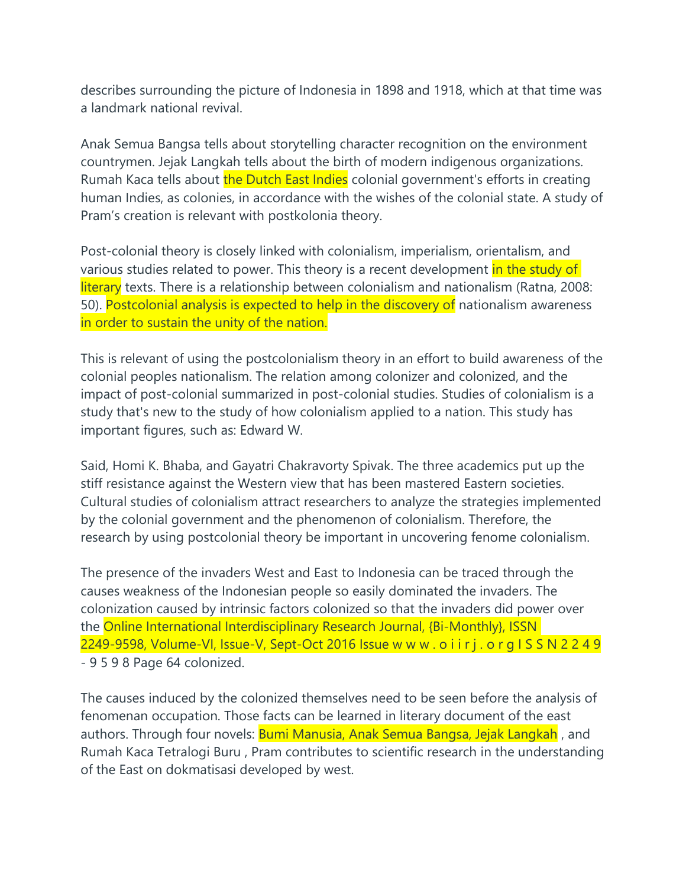describes surrounding the picture of Indonesia in 1898 and 1918, which at that time was a landmark national revival.

Anak Semua Bangsa tells about storytelling character recognition on the environment countrymen. Jejak Langkah tells about the birth of modern indigenous organizations. Rumah Kaca tells about the Dutch East Indies colonial government's efforts in creating human Indies, as colonies, in accordance with the wishes of the colonial state. A study of Pram's creation is relevant with postkolonia theory.

Post-colonial theory is closely linked with colonialism, imperialism, orientalism, and various studies related to power. This theory is a recent development in the study of literary texts. There is a relationship between colonialism and nationalism (Ratna, 2008: 50). Postcolonial analysis is expected to help in the discovery of nationalism awareness in order to sustain the unity of the nation.

This is relevant of using the postcolonialism theory in an effort to build awareness of the colonial peoples nationalism. The relation among colonizer and colonized, and the impact of post-colonial summarized in post-colonial studies. Studies of colonialism is a study that's new to the study of how colonialism applied to a nation. This study has important figures, such as: Edward W.

Said, Homi K. Bhaba, and Gayatri Chakravorty Spivak. The three academics put up the stiff resistance against the Western view that has been mastered Eastern societies. Cultural studies of colonialism attract researchers to analyze the strategies implemented by the colonial government and the phenomenon of colonialism. Therefore, the research by using postcolonial theory be important in uncovering fenome colonialism.

The presence of the invaders West and East to Indonesia can be traced through the causes weakness of the Indonesian people so easily dominated the invaders. The colonization caused by intrinsic factors colonized so that the invaders did power over the Online International Interdisciplinary Research Journal, {Bi-Monthly}, ISSN 2249-9598, Volume-VI, Issue-V, Sept-Oct 2016 Issue w w w . o i i r j . o r g I S S N 2 2 4 9 - 9 5 9 8 Page 64 colonized.

The causes induced by the colonized themselves need to be seen before the analysis of fenomenan occupation. Those facts can be learned in literary document of the east authors. Through four novels: **Bumi Manusia, Anak Semua Bangsa, Jejak Langkah**, and Rumah Kaca Tetralogi Buru , Pram contributes to scientific research in the understanding of the East on dokmatisasi developed by west.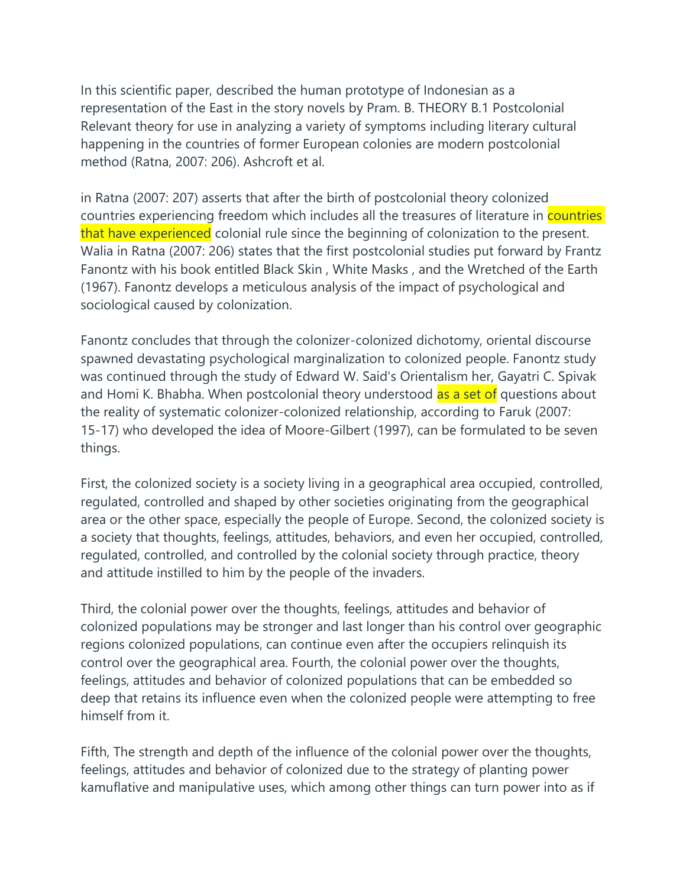In this scientific paper, described the human prototype of Indonesian as a representation of the East in the story novels by Pram. B. THEORY B.1 Postcolonial Relevant theory for use in analyzing a variety of symptoms including literary cultural happening in the countries of former European colonies are modern postcolonial method (Ratna, 2007: 206). Ashcroft et al.

in Ratna (2007: 207) asserts that after the birth of postcolonial theory colonized countries experiencing freedom which includes all the treasures of literature in **countries** that have experienced colonial rule since the beginning of colonization to the present. Walia in Ratna (2007: 206) states that the first postcolonial studies put forward by Frantz Fanontz with his book entitled Black Skin , White Masks , and the Wretched of the Earth (1967). Fanontz develops a meticulous analysis of the impact of psychological and sociological caused by colonization.

Fanontz concludes that through the colonizer-colonized dichotomy, oriental discourse spawned devastating psychological marginalization to colonized people. Fanontz study was continued through the study of Edward W. Said's Orientalism her, Gayatri C. Spivak and Homi K. Bhabha. When postcolonial theory understood as a set of questions about the reality of systematic colonizer-colonized relationship, according to Faruk (2007: 15-17) who developed the idea of Moore-Gilbert (1997), can be formulated to be seven things.

First, the colonized society is a society living in a geographical area occupied, controlled, regulated, controlled and shaped by other societies originating from the geographical area or the other space, especially the people of Europe. Second, the colonized society is a society that thoughts, feelings, attitudes, behaviors, and even her occupied, controlled, regulated, controlled, and controlled by the colonial society through practice, theory and attitude instilled to him by the people of the invaders.

Third, the colonial power over the thoughts, feelings, attitudes and behavior of colonized populations may be stronger and last longer than his control over geographic regions colonized populations, can continue even after the occupiers relinquish its control over the geographical area. Fourth, the colonial power over the thoughts, feelings, attitudes and behavior of colonized populations that can be embedded so deep that retains its influence even when the colonized people were attempting to free himself from it.

Fifth, The strength and depth of the influence of the colonial power over the thoughts, feelings, attitudes and behavior of colonized due to the strategy of planting power kamuflative and manipulative uses, which among other things can turn power into as if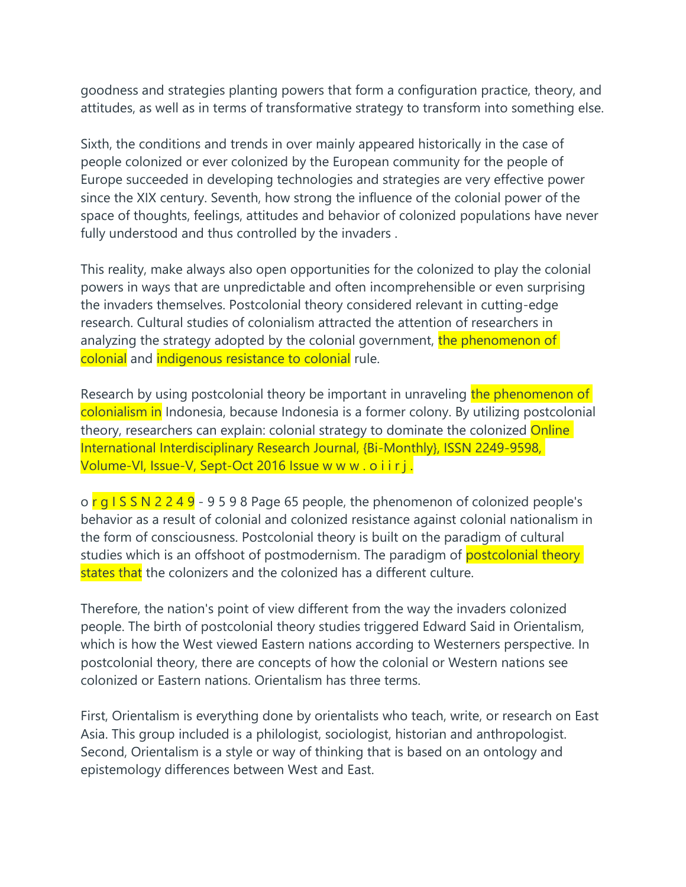goodness and strategies planting powers that form a configuration practice, theory, and attitudes, as well as in terms of transformative strategy to transform into something else.

Sixth, the conditions and trends in over mainly appeared historically in the case of people colonized or ever colonized by the European community for the people of Europe succeeded in developing technologies and strategies are very effective power since the XIX century. Seventh, how strong the influence of the colonial power of the space of thoughts, feelings, attitudes and behavior of colonized populations have never fully understood and thus controlled by the invaders .

This reality, make always also open opportunities for the colonized to play the colonial powers in ways that are unpredictable and often incomprehensible or even surprising the invaders themselves. Postcolonial theory considered relevant in cutting-edge research. Cultural studies of colonialism attracted the attention of researchers in analyzing the strategy adopted by the colonial government, the phenomenon of colonial and indigenous resistance to colonial rule.

Research by using postcolonial theory be important in unraveling the phenomenon of colonialism in Indonesia, because Indonesia is a former colony. By utilizing postcolonial theory, researchers can explain: colonial strategy to dominate the colonized **Online** International Interdisciplinary Research Journal, {Bi-Monthly}, ISSN 2249-9598, Volume-VI, Issue-V, Sept-Oct 2016 Issue w w w . o i i r j.

 $o$  r g I S S N 2 2 4 9 - 9 5 9 8 Page 65 people, the phenomenon of colonized people's behavior as a result of colonial and colonized resistance against colonial nationalism in the form of consciousness. Postcolonial theory is built on the paradigm of cultural studies which is an offshoot of postmodernism. The paradigm of **postcolonial theory** states that the colonizers and the colonized has a different culture.

Therefore, the nation's point of view different from the way the invaders colonized people. The birth of postcolonial theory studies triggered Edward Said in Orientalism, which is how the West viewed Eastern nations according to Westerners perspective. In postcolonial theory, there are concepts of how the colonial or Western nations see colonized or Eastern nations. Orientalism has three terms.

First, Orientalism is everything done by orientalists who teach, write, or research on East Asia. This group included is a philologist, sociologist, historian and anthropologist. Second, Orientalism is a style or way of thinking that is based on an ontology and epistemology differences between West and East.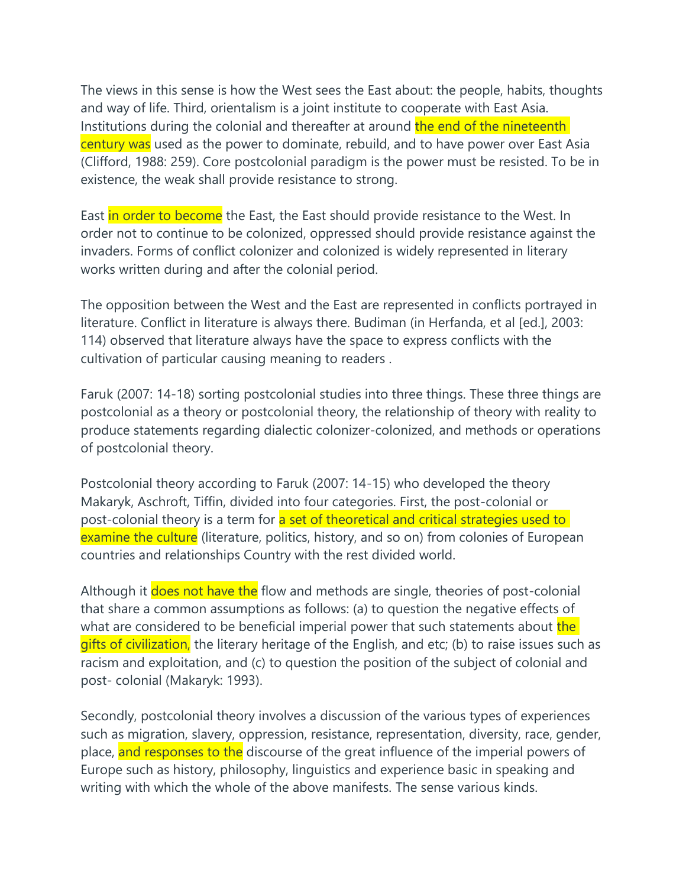The views in this sense is how the West sees the East about: the people, habits, thoughts and way of life. Third, orientalism is a joint institute to cooperate with East Asia. Institutions during the colonial and thereafter at around the end of the nineteenth century was used as the power to dominate, rebuild, and to have power over East Asia (Clifford, 1988: 259). Core postcolonial paradigm is the power must be resisted. To be in existence, the weak shall provide resistance to strong.

East in order to become the East, the East should provide resistance to the West. In order not to continue to be colonized, oppressed should provide resistance against the invaders. Forms of conflict colonizer and colonized is widely represented in literary works written during and after the colonial period.

The opposition between the West and the East are represented in conflicts portrayed in literature. Conflict in literature is always there. Budiman (in Herfanda, et al [ed.], 2003: 114) observed that literature always have the space to express conflicts with the cultivation of particular causing meaning to readers .

Faruk (2007: 14-18) sorting postcolonial studies into three things. These three things are postcolonial as a theory or postcolonial theory, the relationship of theory with reality to produce statements regarding dialectic colonizer-colonized, and methods or operations of postcolonial theory.

Postcolonial theory according to Faruk (2007: 14-15) who developed the theory Makaryk, Aschroft, Tiffin, divided into four categories. First, the post-colonial or post-colonial theory is a term for a set of theoretical and critical strategies used to examine the culture (literature, politics, history, and so on) from colonies of European countries and relationships Country with the rest divided world.

Although it does not have the flow and methods are single, theories of post-colonial that share a common assumptions as follows: (a) to question the negative effects of what are considered to be beneficial imperial power that such statements about the gifts of civilization, the literary heritage of the English, and etc; (b) to raise issues such as racism and exploitation, and (c) to question the position of the subject of colonial and post- colonial (Makaryk: 1993).

Secondly, postcolonial theory involves a discussion of the various types of experiences such as migration, slavery, oppression, resistance, representation, diversity, race, gender, place, and responses to the discourse of the great influence of the imperial powers of Europe such as history, philosophy, linguistics and experience basic in speaking and writing with which the whole of the above manifests. The sense various kinds.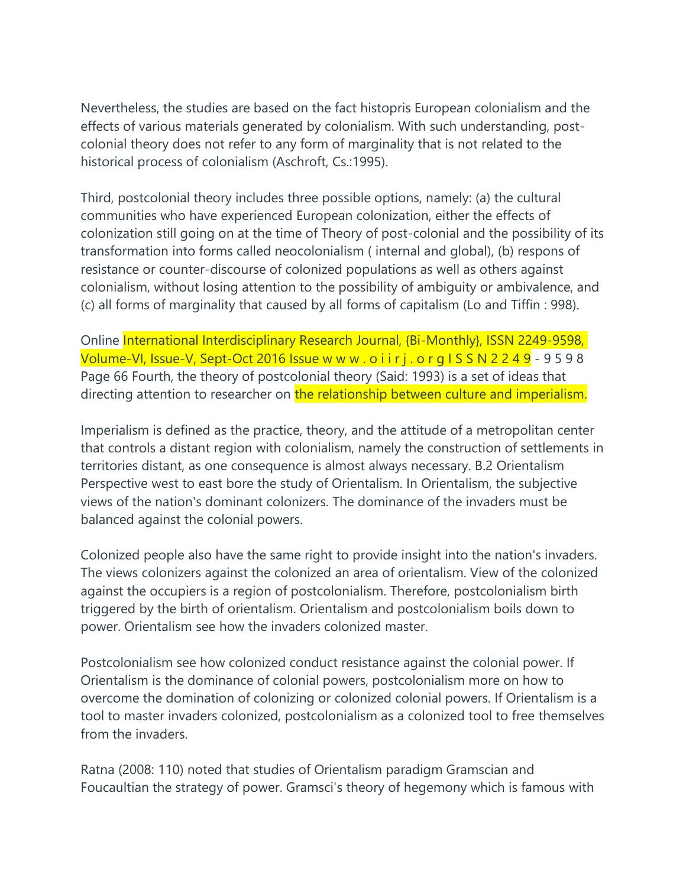Nevertheless, the studies are based on the fact histopris European colonialism and the effects of various materials generated by colonialism. With such understanding, postcolonial theory does not refer to any form of marginality that is not related to the historical process of colonialism (Aschroft, Cs.:1995).

Third, postcolonial theory includes three possible options, namely: (a) the cultural communities who have experienced European colonization, either the effects of colonization still going on at the time of Theory of post-colonial and the possibility of its transformation into forms called neocolonialism ( internal and global), (b) respons of resistance or counter-discourse of colonized populations as well as others against colonialism, without losing attention to the possibility of ambiguity or ambivalence, and (c) all forms of marginality that caused by all forms of capitalism (Lo and Tiffin : 998).

Online International Interdisciplinary Research Journal, {Bi-Monthly}, ISSN 2249-9598, Volume-VI, Issue-V, Sept-Oct 2016 Issue w w w . o i i r j . o r g I S S N 2 2 4 9 - 9 5 9 8 Page 66 Fourth, the theory of postcolonial theory (Said: 1993) is a set of ideas that directing attention to researcher on the relationship between culture and imperialism.

Imperialism is defined as the practice, theory, and the attitude of a metropolitan center that controls a distant region with colonialism, namely the construction of settlements in territories distant, as one consequence is almost always necessary. B.2 Orientalism Perspective west to east bore the study of Orientalism. In Orientalism, the subjective views of the nation's dominant colonizers. The dominance of the invaders must be balanced against the colonial powers.

Colonized people also have the same right to provide insight into the nation's invaders. The views colonizers against the colonized an area of orientalism. View of the colonized against the occupiers is a region of postcolonialism. Therefore, postcolonialism birth triggered by the birth of orientalism. Orientalism and postcolonialism boils down to power. Orientalism see how the invaders colonized master.

Postcolonialism see how colonized conduct resistance against the colonial power. If Orientalism is the dominance of colonial powers, postcolonialism more on how to overcome the domination of colonizing or colonized colonial powers. If Orientalism is a tool to master invaders colonized, postcolonialism as a colonized tool to free themselves from the invaders.

Ratna (2008: 110) noted that studies of Orientalism paradigm Gramscian and Foucaultian the strategy of power. Gramsci's theory of hegemony which is famous with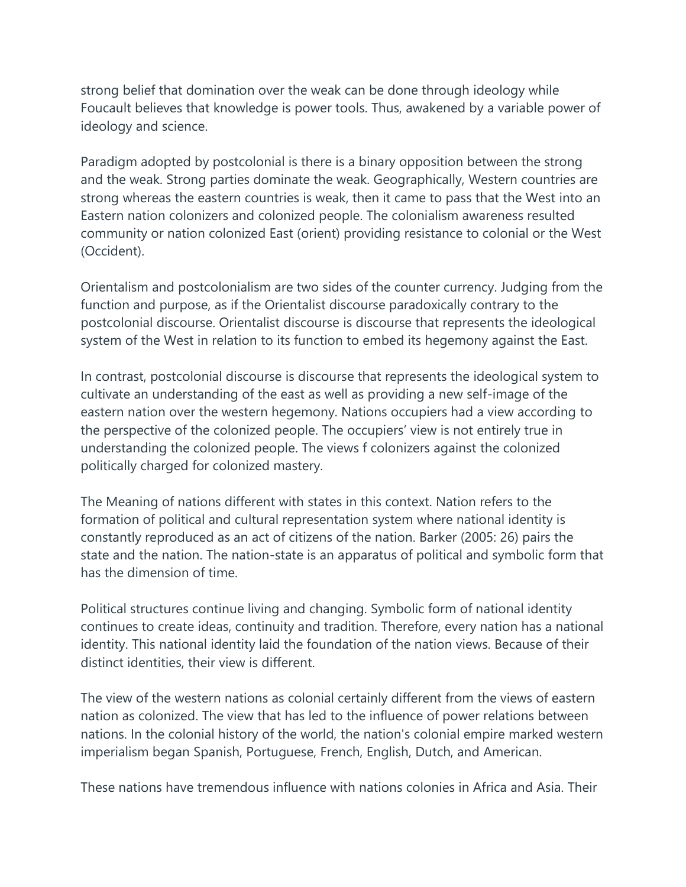strong belief that domination over the weak can be done through ideology while Foucault believes that knowledge is power tools. Thus, awakened by a variable power of ideology and science.

Paradigm adopted by postcolonial is there is a binary opposition between the strong and the weak. Strong parties dominate the weak. Geographically, Western countries are strong whereas the eastern countries is weak, then it came to pass that the West into an Eastern nation colonizers and colonized people. The colonialism awareness resulted community or nation colonized East (orient) providing resistance to colonial or the West (Occident).

Orientalism and postcolonialism are two sides of the counter currency. Judging from the function and purpose, as if the Orientalist discourse paradoxically contrary to the postcolonial discourse. Orientalist discourse is discourse that represents the ideological system of the West in relation to its function to embed its hegemony against the East.

In contrast, postcolonial discourse is discourse that represents the ideological system to cultivate an understanding of the east as well as providing a new self-image of the eastern nation over the western hegemony. Nations occupiers had a view according to the perspective of the colonized people. The occupiers' view is not entirely true in understanding the colonized people. The views f colonizers against the colonized politically charged for colonized mastery.

The Meaning of nations different with states in this context. Nation refers to the formation of political and cultural representation system where national identity is constantly reproduced as an act of citizens of the nation. Barker (2005: 26) pairs the state and the nation. The nation-state is an apparatus of political and symbolic form that has the dimension of time.

Political structures continue living and changing. Symbolic form of national identity continues to create ideas, continuity and tradition. Therefore, every nation has a national identity. This national identity laid the foundation of the nation views. Because of their distinct identities, their view is different.

The view of the western nations as colonial certainly different from the views of eastern nation as colonized. The view that has led to the influence of power relations between nations. In the colonial history of the world, the nation's colonial empire marked western imperialism began Spanish, Portuguese, French, English, Dutch, and American.

These nations have tremendous influence with nations colonies in Africa and Asia. Their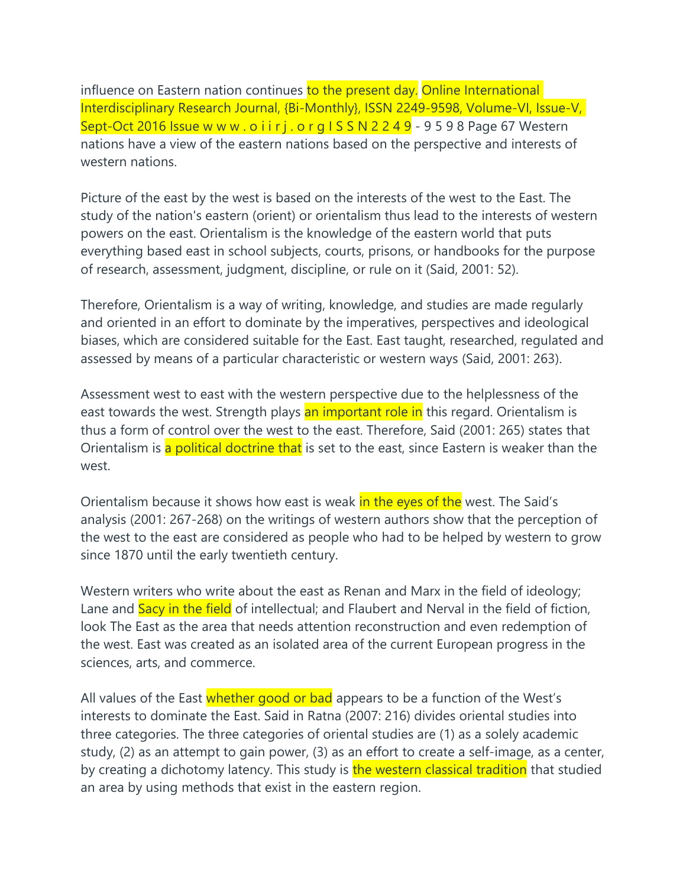influence on Eastern nation continues to the present day. Online International Interdisciplinary Research Journal, {Bi-Monthly}, ISSN 2249-9598, Volume-VI, Issue-V, Sept-Oct 2016 Issue w w w . o i i r j . o r g  $1 S S N 2 2 4 9 - 9 5 9 8$  Page 67 Western nations have a view of the eastern nations based on the perspective and interests of western nations.

Picture of the east by the west is based on the interests of the west to the East. The study of the nation's eastern (orient) or orientalism thus lead to the interests of western powers on the east. Orientalism is the knowledge of the eastern world that puts everything based east in school subjects, courts, prisons, or handbooks for the purpose of research, assessment, judgment, discipline, or rule on it (Said, 2001: 52).

Therefore, Orientalism is a way of writing, knowledge, and studies are made regularly and oriented in an effort to dominate by the imperatives, perspectives and ideological biases, which are considered suitable for the East. East taught, researched, regulated and assessed by means of a particular characteristic or western ways (Said, 2001: 263).

Assessment west to east with the western perspective due to the helplessness of the east towards the west. Strength plays an important role in this regard. Orientalism is thus a form of control over the west to the east. Therefore, Said (2001: 265) states that Orientalism is a political doctrine that is set to the east, since Eastern is weaker than the west.

Orientalism because it shows how east is weak in the eyes of the west. The Said's analysis (2001: 267-268) on the writings of western authors show that the perception of the west to the east are considered as people who had to be helped by western to grow since 1870 until the early twentieth century.

Western writers who write about the east as Renan and Marx in the field of ideology; Lane and Sacy in the field of intellectual; and Flaubert and Nerval in the field of fiction, look The East as the area that needs attention reconstruction and even redemption of the west. East was created as an isolated area of the current European progress in the sciences, arts, and commerce.

All values of the East whether good or bad appears to be a function of the West's interests to dominate the East. Said in Ratna (2007: 216) divides oriental studies into three categories. The three categories of oriental studies are (1) as a solely academic study, (2) as an attempt to gain power, (3) as an effort to create a self-image, as a center, by creating a dichotomy latency. This study is the western classical tradition that studied an area by using methods that exist in the eastern region.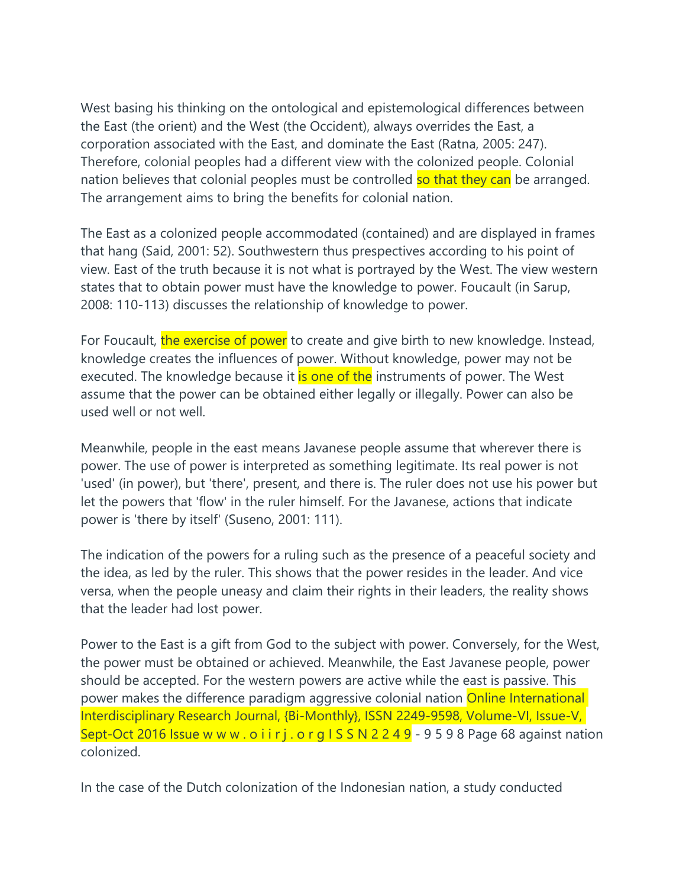West basing his thinking on the ontological and epistemological differences between the East (the orient) and the West (the Occident), always overrides the East, a corporation associated with the East, and dominate the East (Ratna, 2005: 247). Therefore, colonial peoples had a different view with the colonized people. Colonial nation believes that colonial peoples must be controlled so that they can be arranged. The arrangement aims to bring the benefits for colonial nation.

The East as a colonized people accommodated (contained) and are displayed in frames that hang (Said, 2001: 52). Southwestern thus prespectives according to his point of view. East of the truth because it is not what is portrayed by the West. The view western states that to obtain power must have the knowledge to power. Foucault (in Sarup, 2008: 110-113) discusses the relationship of knowledge to power.

For Foucault, the exercise of power to create and give birth to new knowledge. Instead, knowledge creates the influences of power. Without knowledge, power may not be executed. The knowledge because it **is one of the** instruments of power. The West assume that the power can be obtained either legally or illegally. Power can also be used well or not well.

Meanwhile, people in the east means Javanese people assume that wherever there is power. The use of power is interpreted as something legitimate. Its real power is not 'used' (in power), but 'there', present, and there is. The ruler does not use his power but let the powers that 'flow' in the ruler himself. For the Javanese, actions that indicate power is 'there by itself' (Suseno, 2001: 111).

The indication of the powers for a ruling such as the presence of a peaceful society and the idea, as led by the ruler. This shows that the power resides in the leader. And vice versa, when the people uneasy and claim their rights in their leaders, the reality shows that the leader had lost power.

Power to the East is a gift from God to the subject with power. Conversely, for the West, the power must be obtained or achieved. Meanwhile, the East Javanese people, power should be accepted. For the western powers are active while the east is passive. This power makes the difference paradigm aggressive colonial nation **Online International** Interdisciplinary Research Journal, {Bi-Monthly}, ISSN 2249-9598, Volume-VI, Issue-V, Sept-Oct 2016 Issue w w w . o i i r j . o r g I S S N 2 2 4 9 - 9 5 9 8 Page 68 against nation colonized.

In the case of the Dutch colonization of the Indonesian nation, a study conducted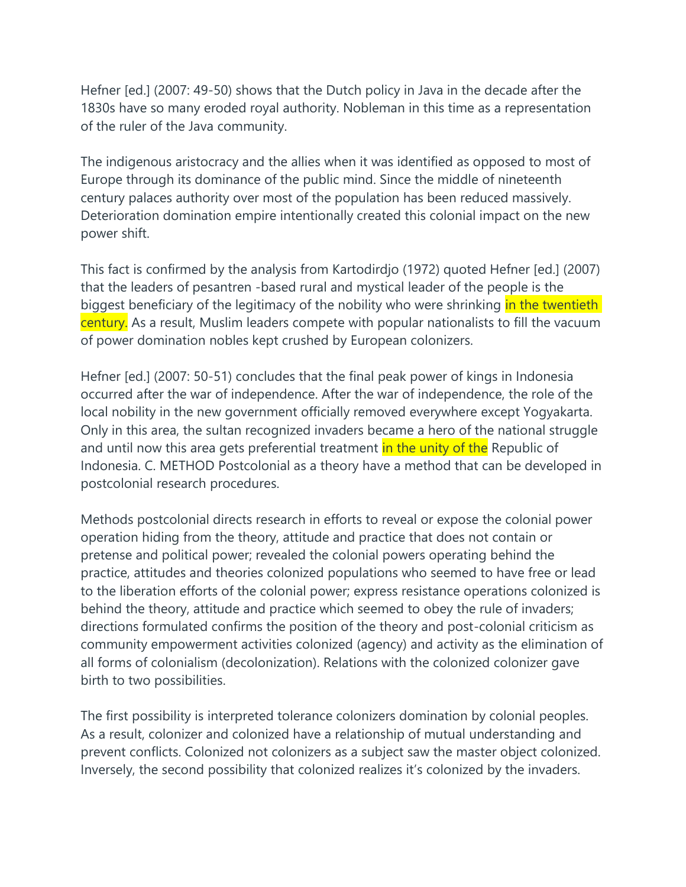Hefner [ed.] (2007: 49-50) shows that the Dutch policy in Java in the decade after the 1830s have so many eroded royal authority. Nobleman in this time as a representation of the ruler of the Java community.

The indigenous aristocracy and the allies when it was identified as opposed to most of Europe through its dominance of the public mind. Since the middle of nineteenth century palaces authority over most of the population has been reduced massively. Deterioration domination empire intentionally created this colonial impact on the new power shift.

This fact is confirmed by the analysis from Kartodirdjo (1972) quoted Hefner [ed.] (2007) that the leaders of pesantren -based rural and mystical leader of the people is the biggest beneficiary of the legitimacy of the nobility who were shrinking in the twentieth century. As a result, Muslim leaders compete with popular nationalists to fill the vacuum of power domination nobles kept crushed by European colonizers.

Hefner [ed.] (2007: 50-51) concludes that the final peak power of kings in Indonesia occurred after the war of independence. After the war of independence, the role of the local nobility in the new government officially removed everywhere except Yogyakarta. Only in this area, the sultan recognized invaders became a hero of the national struggle and until now this area gets preferential treatment in the unity of the Republic of Indonesia. C. METHOD Postcolonial as a theory have a method that can be developed in postcolonial research procedures.

Methods postcolonial directs research in efforts to reveal or expose the colonial power operation hiding from the theory, attitude and practice that does not contain or pretense and political power; revealed the colonial powers operating behind the practice, attitudes and theories colonized populations who seemed to have free or lead to the liberation efforts of the colonial power; express resistance operations colonized is behind the theory, attitude and practice which seemed to obey the rule of invaders; directions formulated confirms the position of the theory and post-colonial criticism as community empowerment activities colonized (agency) and activity as the elimination of all forms of colonialism (decolonization). Relations with the colonized colonizer gave birth to two possibilities.

The first possibility is interpreted tolerance colonizers domination by colonial peoples. As a result, colonizer and colonized have a relationship of mutual understanding and prevent conflicts. Colonized not colonizers as a subject saw the master object colonized. Inversely, the second possibility that colonized realizes it's colonized by the invaders.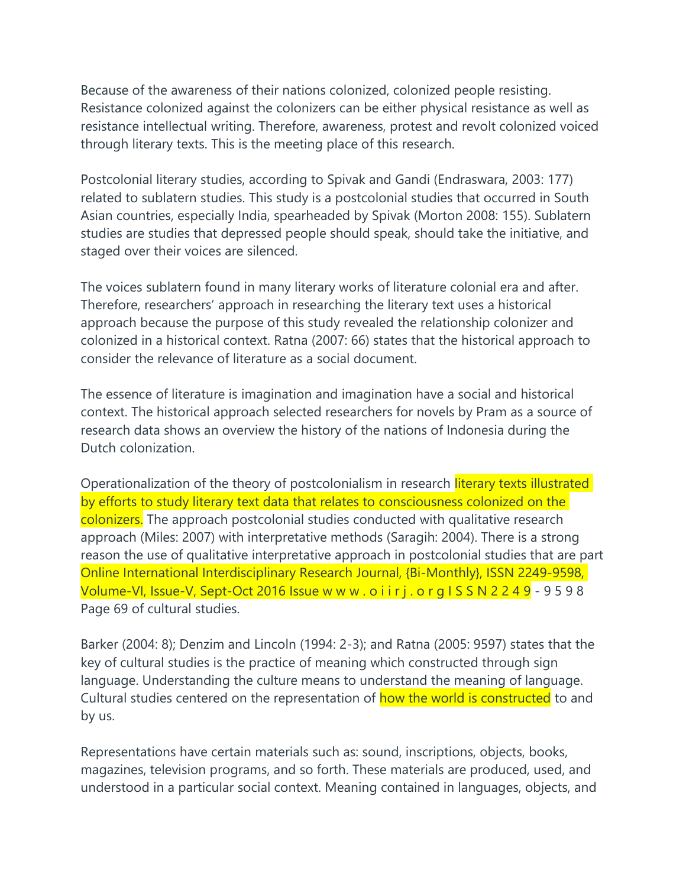Because of the awareness of their nations colonized, colonized people resisting. Resistance colonized against the colonizers can be either physical resistance as well as resistance intellectual writing. Therefore, awareness, protest and revolt colonized voiced through literary texts. This is the meeting place of this research.

Postcolonial literary studies, according to Spivak and Gandi (Endraswara, 2003: 177) related to sublatern studies. This study is a postcolonial studies that occurred in South Asian countries, especially India, spearheaded by Spivak (Morton 2008: 155). Sublatern studies are studies that depressed people should speak, should take the initiative, and staged over their voices are silenced.

The voices sublatern found in many literary works of literature colonial era and after. Therefore, researchers' approach in researching the literary text uses a historical approach because the purpose of this study revealed the relationship colonizer and colonized in a historical context. Ratna (2007: 66) states that the historical approach to consider the relevance of literature as a social document.

The essence of literature is imagination and imagination have a social and historical context. The historical approach selected researchers for novels by Pram as a source of research data shows an overview the history of the nations of Indonesia during the Dutch colonization.

Operationalization of the theory of postcolonialism in research literary texts illustrated by efforts to study literary text data that relates to consciousness colonized on the colonizers. The approach postcolonial studies conducted with qualitative research approach (Miles: 2007) with interpretative methods (Saragih: 2004). There is a strong reason the use of qualitative interpretative approach in postcolonial studies that are part Online International Interdisciplinary Research Journal, {Bi-Monthly}, ISSN 2249-9598, Volume-VI, Issue-V, Sept-Oct 2016 Issue w w w . o i i r j . o r g I S S N 2 2 4 9 - 9 5 9 8 Page 69 of cultural studies.

Barker (2004: 8); Denzim and Lincoln (1994: 2-3); and Ratna (2005: 9597) states that the key of cultural studies is the practice of meaning which constructed through sign language. Understanding the culture means to understand the meaning of language. Cultural studies centered on the representation of how the world is constructed to and by us.

Representations have certain materials such as: sound, inscriptions, objects, books, magazines, television programs, and so forth. These materials are produced, used, and understood in a particular social context. Meaning contained in languages, objects, and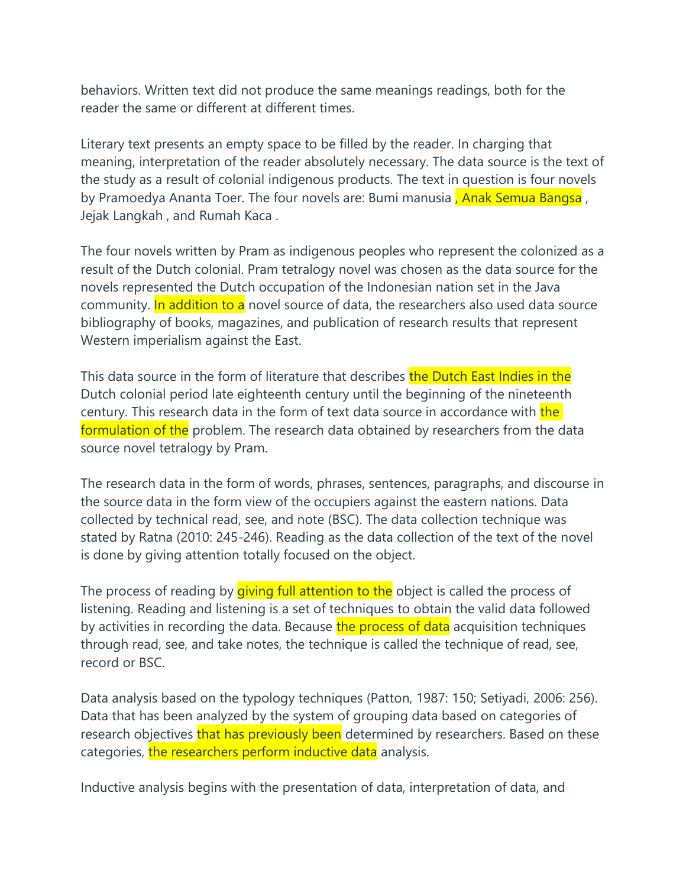behaviors. Written text did not produce the same meanings readings, both for the reader the same or different at different times.

Literary text presents an empty space to be filled by the reader. In charging that meaning, interpretation of the reader absolutely necessary. The data source is the text of the study as a result of colonial indigenous products. The text in question is four novels by Pramoedya Ananta Toer. The four novels are: Bumi manusia, Anak Semua Bangsa, Jejak Langkah , and Rumah Kaca .

The four novels written by Pram as indigenous peoples who represent the colonized as a result of the Dutch colonial. Pram tetralogy novel was chosen as the data source for the novels represented the Dutch occupation of the Indonesian nation set in the Java community. In addition to a novel source of data, the researchers also used data source bibliography of books, magazines, and publication of research results that represent Western imperialism against the East.

This data source in the form of literature that describes the Dutch East Indies in the Dutch colonial period late eighteenth century until the beginning of the nineteenth century. This research data in the form of text data source in accordance with the formulation of the problem. The research data obtained by researchers from the data source novel tetralogy by Pram.

The research data in the form of words, phrases, sentences, paragraphs, and discourse in the source data in the form view of the occupiers against the eastern nations. Data collected by technical read, see, and note (BSC). The data collection technique was stated by Ratna (2010: 245-246). Reading as the data collection of the text of the novel is done by giving attention totally focused on the object.

The process of reading by *giving full attention to the* object is called the process of listening. Reading and listening is a set of techniques to obtain the valid data followed by activities in recording the data. Because the process of data acquisition techniques through read, see, and take notes, the technique is called the technique of read, see, record or BSC.

Data analysis based on the typology techniques (Patton, 1987: 150; Setiyadi, 2006: 256). Data that has been analyzed by the system of grouping data based on categories of research objectives that has previously been determined by researchers. Based on these categories, the researchers perform inductive data analysis.

Inductive analysis begins with the presentation of data, interpretation of data, and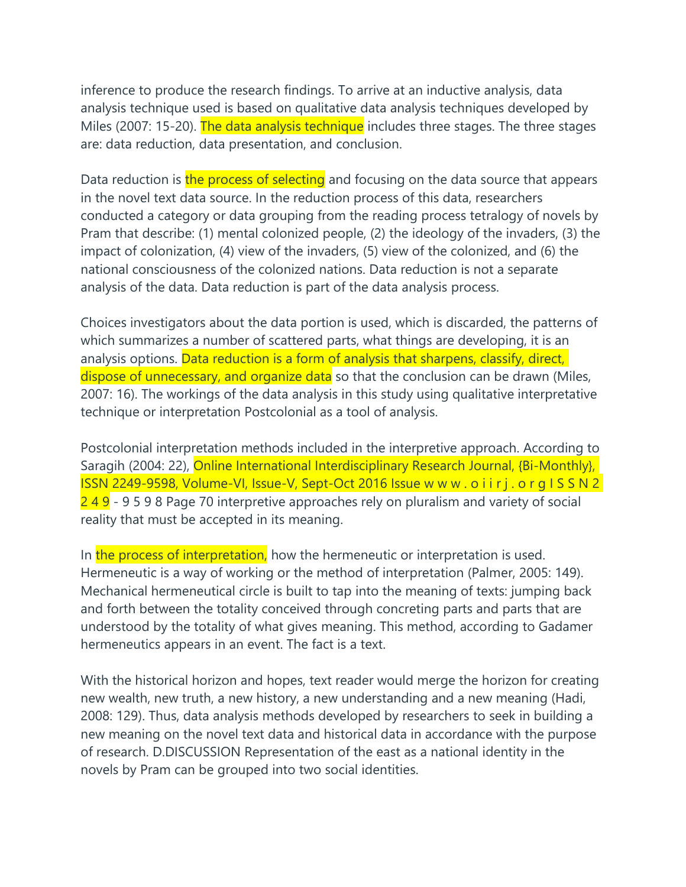inference to produce the research findings. To arrive at an inductive analysis, data analysis technique used is based on qualitative data analysis techniques developed by Miles (2007: 15-20). The data analysis technique includes three stages. The three stages are: data reduction, data presentation, and conclusion.

Data reduction is the process of selecting and focusing on the data source that appears in the novel text data source. In the reduction process of this data, researchers conducted a category or data grouping from the reading process tetralogy of novels by Pram that describe: (1) mental colonized people, (2) the ideology of the invaders, (3) the impact of colonization, (4) view of the invaders, (5) view of the colonized, and (6) the national consciousness of the colonized nations. Data reduction is not a separate analysis of the data. Data reduction is part of the data analysis process.

Choices investigators about the data portion is used, which is discarded, the patterns of which summarizes a number of scattered parts, what things are developing, it is an analysis options. Data reduction is a form of analysis that sharpens, classify, direct, dispose of unnecessary, and organize data so that the conclusion can be drawn (Miles, 2007: 16). The workings of the data analysis in this study using qualitative interpretative technique or interpretation Postcolonial as a tool of analysis.

Postcolonial interpretation methods included in the interpretive approach. According to Saragih (2004: 22), Online International Interdisciplinary Research Journal, {Bi-Monthly}, ISSN 2249-9598, Volume-VI, Issue-V, Sept-Oct 2016 Issue w w w . o i i r j . o r g I S S N 2 249 - 9598 Page 70 interpretive approaches rely on pluralism and variety of social reality that must be accepted in its meaning.

In the process of interpretation, how the hermeneutic or interpretation is used. Hermeneutic is a way of working or the method of interpretation (Palmer, 2005: 149). Mechanical hermeneutical circle is built to tap into the meaning of texts: jumping back and forth between the totality conceived through concreting parts and parts that are understood by the totality of what gives meaning. This method, according to Gadamer hermeneutics appears in an event. The fact is a text.

With the historical horizon and hopes, text reader would merge the horizon for creating new wealth, new truth, a new history, a new understanding and a new meaning (Hadi, 2008: 129). Thus, data analysis methods developed by researchers to seek in building a new meaning on the novel text data and historical data in accordance with the purpose of research. D.DISCUSSION Representation of the east as a national identity in the novels by Pram can be grouped into two social identities.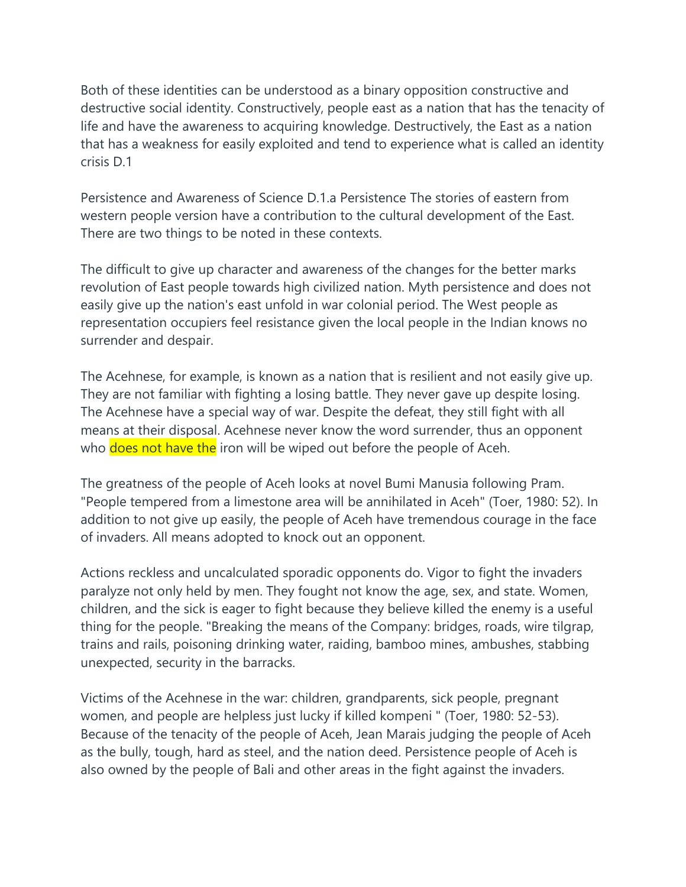Both of these identities can be understood as a binary opposition constructive and destructive social identity. Constructively, people east as a nation that has the tenacity of life and have the awareness to acquiring knowledge. Destructively, the East as a nation that has a weakness for easily exploited and tend to experience what is called an identity crisis D.1

Persistence and Awareness of Science D.1.a Persistence The stories of eastern from western people version have a contribution to the cultural development of the East. There are two things to be noted in these contexts.

The difficult to give up character and awareness of the changes for the better marks revolution of East people towards high civilized nation. Myth persistence and does not easily give up the nation's east unfold in war colonial period. The West people as representation occupiers feel resistance given the local people in the Indian knows no surrender and despair.

The Acehnese, for example, is known as a nation that is resilient and not easily give up. They are not familiar with fighting a losing battle. They never gave up despite losing. The Acehnese have a special way of war. Despite the defeat, they still fight with all means at their disposal. Acehnese never know the word surrender, thus an opponent who does not have the iron will be wiped out before the people of Aceh.

The greatness of the people of Aceh looks at novel Bumi Manusia following Pram. "People tempered from a limestone area will be annihilated in Aceh" (Toer, 1980: 52). In addition to not give up easily, the people of Aceh have tremendous courage in the face of invaders. All means adopted to knock out an opponent.

Actions reckless and uncalculated sporadic opponents do. Vigor to fight the invaders paralyze not only held by men. They fought not know the age, sex, and state. Women, children, and the sick is eager to fight because they believe killed the enemy is a useful thing for the people. "Breaking the means of the Company: bridges, roads, wire tilgrap, trains and rails, poisoning drinking water, raiding, bamboo mines, ambushes, stabbing unexpected, security in the barracks.

Victims of the Acehnese in the war: children, grandparents, sick people, pregnant women, and people are helpless just lucky if killed kompeni " (Toer, 1980: 52-53). Because of the tenacity of the people of Aceh, Jean Marais judging the people of Aceh as the bully, tough, hard as steel, and the nation deed. Persistence people of Aceh is also owned by the people of Bali and other areas in the fight against the invaders.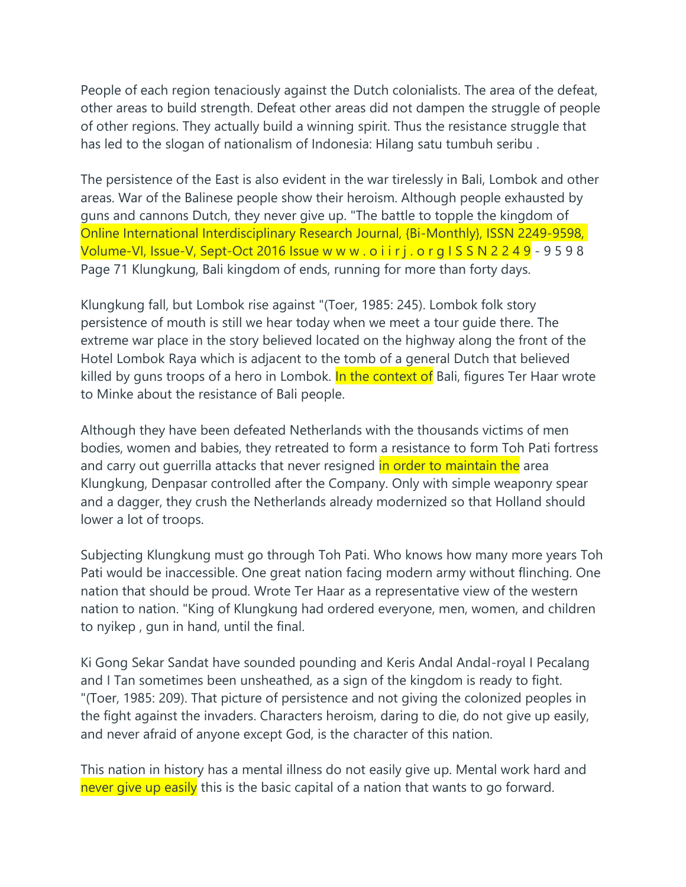People of each region tenaciously against the Dutch colonialists. The area of the defeat, other areas to build strength. Defeat other areas did not dampen the struggle of people of other regions. They actually build a winning spirit. Thus the resistance struggle that has led to the slogan of nationalism of Indonesia: Hilang satu tumbuh seribu .

The persistence of the East is also evident in the war tirelessly in Bali, Lombok and other areas. War of the Balinese people show their heroism. Although people exhausted by guns and cannons Dutch, they never give up. "The battle to topple the kingdom of Online International Interdisciplinary Research Journal, {Bi-Monthly}, ISSN 2249-9598, Volume-VI, Issue-V, Sept-Oct 2016 Issue w w w . o i i r j . o r g I S S N 2 2 4 9 - 9 5 9 8 Page 71 Klungkung, Bali kingdom of ends, running for more than forty days.

Klungkung fall, but Lombok rise against "(Toer, 1985: 245). Lombok folk story persistence of mouth is still we hear today when we meet a tour guide there. The extreme war place in the story believed located on the highway along the front of the Hotel Lombok Raya which is adjacent to the tomb of a general Dutch that believed killed by guns troops of a hero in Lombok. In the context of Bali, figures Ter Haar wrote to Minke about the resistance of Bali people.

Although they have been defeated Netherlands with the thousands victims of men bodies, women and babies, they retreated to form a resistance to form Toh Pati fortress and carry out guerrilla attacks that never resigned in order to maintain the area Klungkung, Denpasar controlled after the Company. Only with simple weaponry spear and a dagger, they crush the Netherlands already modernized so that Holland should lower a lot of troops.

Subjecting Klungkung must go through Toh Pati. Who knows how many more years Toh Pati would be inaccessible. One great nation facing modern army without flinching. One nation that should be proud. Wrote Ter Haar as a representative view of the western nation to nation. "King of Klungkung had ordered everyone, men, women, and children to nyikep , gun in hand, until the final.

Ki Gong Sekar Sandat have sounded pounding and Keris Andal Andal-royal I Pecalang and I Tan sometimes been unsheathed, as a sign of the kingdom is ready to fight. "(Toer, 1985: 209). That picture of persistence and not giving the colonized peoples in the fight against the invaders. Characters heroism, daring to die, do not give up easily, and never afraid of anyone except God, is the character of this nation.

This nation in history has a mental illness do not easily give up. Mental work hard and never give up easily this is the basic capital of a nation that wants to go forward.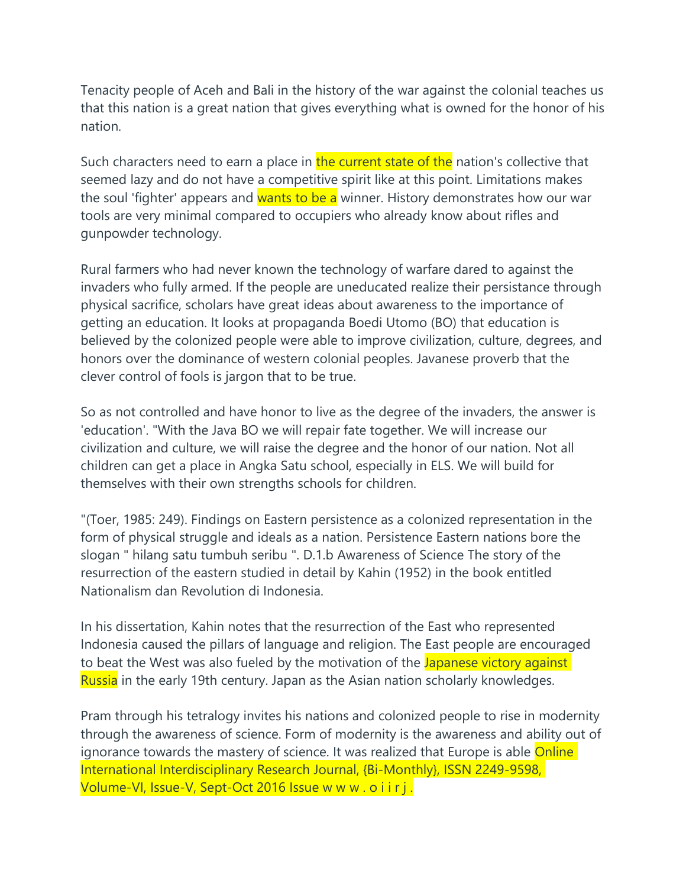Tenacity people of Aceh and Bali in the history of the war against the colonial teaches us that this nation is a great nation that gives everything what is owned for the honor of his nation.

Such characters need to earn a place in the current state of the nation's collective that seemed lazy and do not have a competitive spirit like at this point. Limitations makes the soul 'fighter' appears and wants to be a winner. History demonstrates how our war tools are very minimal compared to occupiers who already know about rifles and gunpowder technology.

Rural farmers who had never known the technology of warfare dared to against the invaders who fully armed. If the people are uneducated realize their persistance through physical sacrifice, scholars have great ideas about awareness to the importance of getting an education. It looks at propaganda Boedi Utomo (BO) that education is believed by the colonized people were able to improve civilization, culture, degrees, and honors over the dominance of western colonial peoples. Javanese proverb that the clever control of fools is jargon that to be true.

So as not controlled and have honor to live as the degree of the invaders, the answer is 'education'. "With the Java BO we will repair fate together. We will increase our civilization and culture, we will raise the degree and the honor of our nation. Not all children can get a place in Angka Satu school, especially in ELS. We will build for themselves with their own strengths schools for children.

"(Toer, 1985: 249). Findings on Eastern persistence as a colonized representation in the form of physical struggle and ideals as a nation. Persistence Eastern nations bore the slogan " hilang satu tumbuh seribu ". D.1.b Awareness of Science The story of the resurrection of the eastern studied in detail by Kahin (1952) in the book entitled Nationalism dan Revolution di Indonesia.

In his dissertation, Kahin notes that the resurrection of the East who represented Indonesia caused the pillars of language and religion. The East people are encouraged to beat the West was also fueled by the motivation of the Japanese victory against Russia in the early 19th century. Japan as the Asian nation scholarly knowledges.

Pram through his tetralogy invites his nations and colonized people to rise in modernity through the awareness of science. Form of modernity is the awareness and ability out of ignorance towards the mastery of science. It was realized that Europe is able Online International Interdisciplinary Research Journal, {Bi-Monthly}, ISSN 2249-9598, Volume-VI, Issue-V, Sept-Oct 2016 Issue w w w . o i i r j.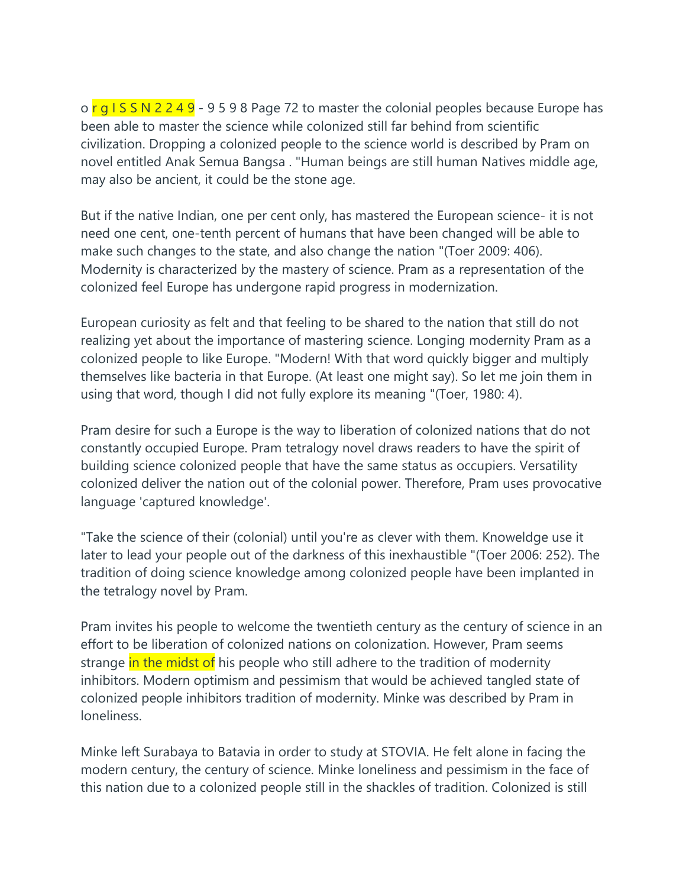o  $\frac{r}{q}$  S S N 2 2 4 9 - 9 5 9 8 Page 72 to master the colonial peoples because Europe has been able to master the science while colonized still far behind from scientific civilization. Dropping a colonized people to the science world is described by Pram on novel entitled Anak Semua Bangsa . "Human beings are still human Natives middle age, may also be ancient, it could be the stone age.

But if the native Indian, one per cent only, has mastered the European science- it is not need one cent, one-tenth percent of humans that have been changed will be able to make such changes to the state, and also change the nation "(Toer 2009: 406). Modernity is characterized by the mastery of science. Pram as a representation of the colonized feel Europe has undergone rapid progress in modernization.

European curiosity as felt and that feeling to be shared to the nation that still do not realizing yet about the importance of mastering science. Longing modernity Pram as a colonized people to like Europe. "Modern! With that word quickly bigger and multiply themselves like bacteria in that Europe. (At least one might say). So let me join them in using that word, though I did not fully explore its meaning "(Toer, 1980: 4).

Pram desire for such a Europe is the way to liberation of colonized nations that do not constantly occupied Europe. Pram tetralogy novel draws readers to have the spirit of building science colonized people that have the same status as occupiers. Versatility colonized deliver the nation out of the colonial power. Therefore, Pram uses provocative language 'captured knowledge'.

"Take the science of their (colonial) until you're as clever with them. Knoweldge use it later to lead your people out of the darkness of this inexhaustible "(Toer 2006: 252). The tradition of doing science knowledge among colonized people have been implanted in the tetralogy novel by Pram.

Pram invites his people to welcome the twentieth century as the century of science in an effort to be liberation of colonized nations on colonization. However, Pram seems strange in the midst of his people who still adhere to the tradition of modernity inhibitors. Modern optimism and pessimism that would be achieved tangled state of colonized people inhibitors tradition of modernity. Minke was described by Pram in loneliness.

Minke left Surabaya to Batavia in order to study at STOVIA. He felt alone in facing the modern century, the century of science. Minke loneliness and pessimism in the face of this nation due to a colonized people still in the shackles of tradition. Colonized is still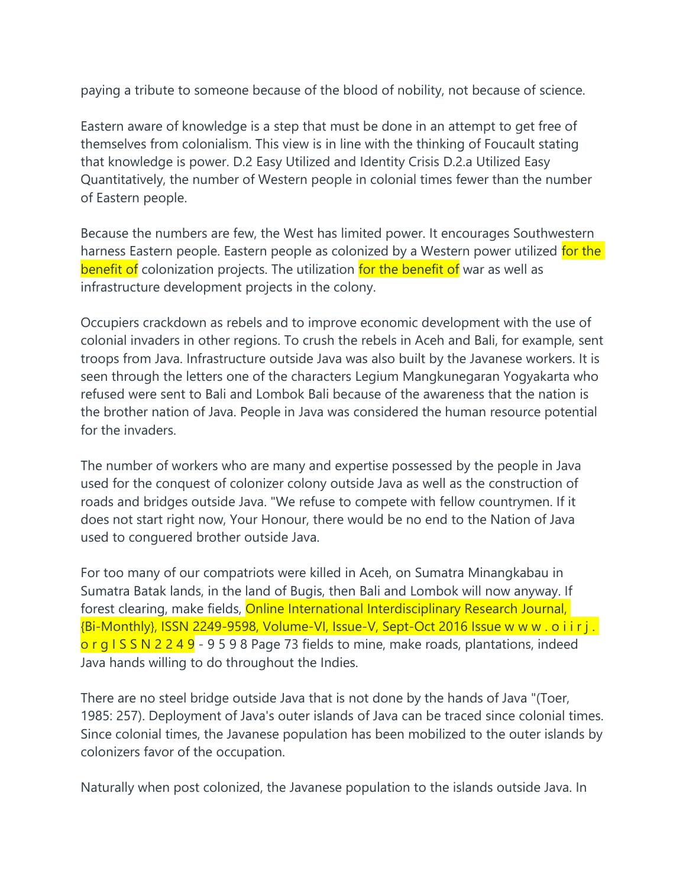paying a tribute to someone because of the blood of nobility, not because of science.

Eastern aware of knowledge is a step that must be done in an attempt to get free of themselves from colonialism. This view is in line with the thinking of Foucault stating that knowledge is power. D.2 Easy Utilized and Identity Crisis D.2.a Utilized Easy Quantitatively, the number of Western people in colonial times fewer than the number of Eastern people.

Because the numbers are few, the West has limited power. It encourages Southwestern harness Eastern people. Eastern people as colonized by a Western power utilized for the benefit of colonization projects. The utilization for the benefit of war as well as infrastructure development projects in the colony.

Occupiers crackdown as rebels and to improve economic development with the use of colonial invaders in other regions. To crush the rebels in Aceh and Bali, for example, sent troops from Java. Infrastructure outside Java was also built by the Javanese workers. It is seen through the letters one of the characters Legium Mangkunegaran Yogyakarta who refused were sent to Bali and Lombok Bali because of the awareness that the nation is the brother nation of Java. People in Java was considered the human resource potential for the invaders.

The number of workers who are many and expertise possessed by the people in Java used for the conquest of colonizer colony outside Java as well as the construction of roads and bridges outside Java. "We refuse to compete with fellow countrymen. If it does not start right now, Your Honour, there would be no end to the Nation of Java used to conguered brother outside Java.

For too many of our compatriots were killed in Aceh, on Sumatra Minangkabau in Sumatra Batak lands, in the land of Bugis, then Bali and Lombok will now anyway. If forest clearing, make fields, **Online International Interdisciplinary Research Journal**, {Bi-Monthly}, ISSN 2249-9598, Volume-VI, Issue-V, Sept-Oct 2016 Issue w w w . o i i r j . o r g I S S N 2 2 4 9 - 9 5 9 8 Page 73 fields to mine, make roads, plantations, indeed Java hands willing to do throughout the Indies.

There are no steel bridge outside Java that is not done by the hands of Java "(Toer, 1985: 257). Deployment of Java's outer islands of Java can be traced since colonial times. Since colonial times, the Javanese population has been mobilized to the outer islands by colonizers favor of the occupation.

Naturally when post colonized, the Javanese population to the islands outside Java. In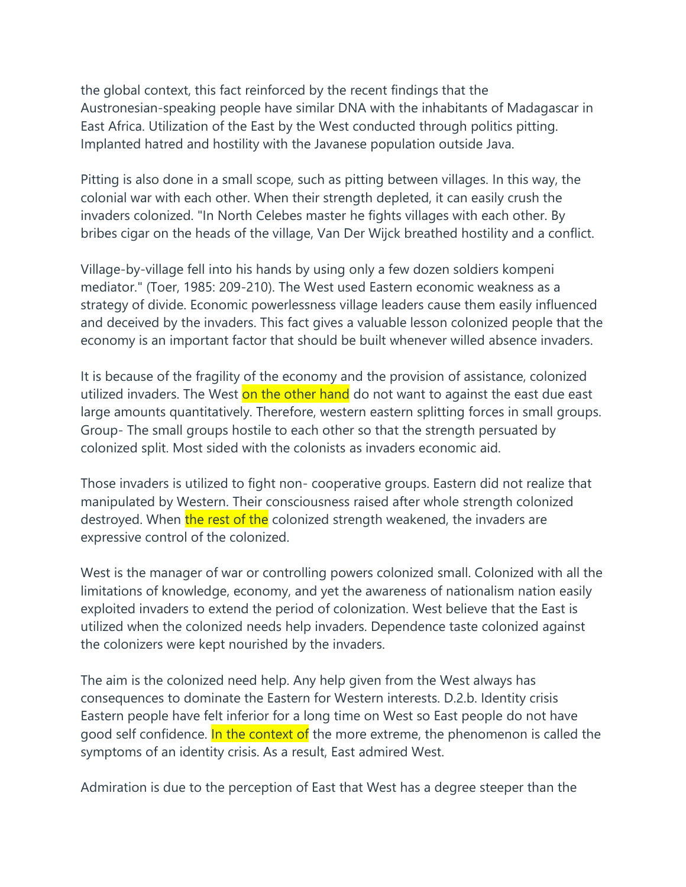the global context, this fact reinforced by the recent findings that the Austronesian-speaking people have similar DNA with the inhabitants of Madagascar in East Africa. Utilization of the East by the West conducted through politics pitting. Implanted hatred and hostility with the Javanese population outside Java.

Pitting is also done in a small scope, such as pitting between villages. In this way, the colonial war with each other. When their strength depleted, it can easily crush the invaders colonized. "In North Celebes master he fights villages with each other. By bribes cigar on the heads of the village, Van Der Wijck breathed hostility and a conflict.

Village-by-village fell into his hands by using only a few dozen soldiers kompeni mediator." (Toer, 1985: 209-210). The West used Eastern economic weakness as a strategy of divide. Economic powerlessness village leaders cause them easily influenced and deceived by the invaders. This fact gives a valuable lesson colonized people that the economy is an important factor that should be built whenever willed absence invaders.

It is because of the fragility of the economy and the provision of assistance, colonized utilized invaders. The West on the other hand do not want to against the east due east large amounts quantitatively. Therefore, western eastern splitting forces in small groups. Group- The small groups hostile to each other so that the strength persuated by colonized split. Most sided with the colonists as invaders economic aid.

Those invaders is utilized to fight non- cooperative groups. Eastern did not realize that manipulated by Western. Their consciousness raised after whole strength colonized destroyed. When the rest of the colonized strength weakened, the invaders are expressive control of the colonized.

West is the manager of war or controlling powers colonized small. Colonized with all the limitations of knowledge, economy, and yet the awareness of nationalism nation easily exploited invaders to extend the period of colonization. West believe that the East is utilized when the colonized needs help invaders. Dependence taste colonized against the colonizers were kept nourished by the invaders.

The aim is the colonized need help. Any help given from the West always has consequences to dominate the Eastern for Western interests. D.2.b. Identity crisis Eastern people have felt inferior for a long time on West so East people do not have good self confidence. In the context of the more extreme, the phenomenon is called the symptoms of an identity crisis. As a result, East admired West.

Admiration is due to the perception of East that West has a degree steeper than the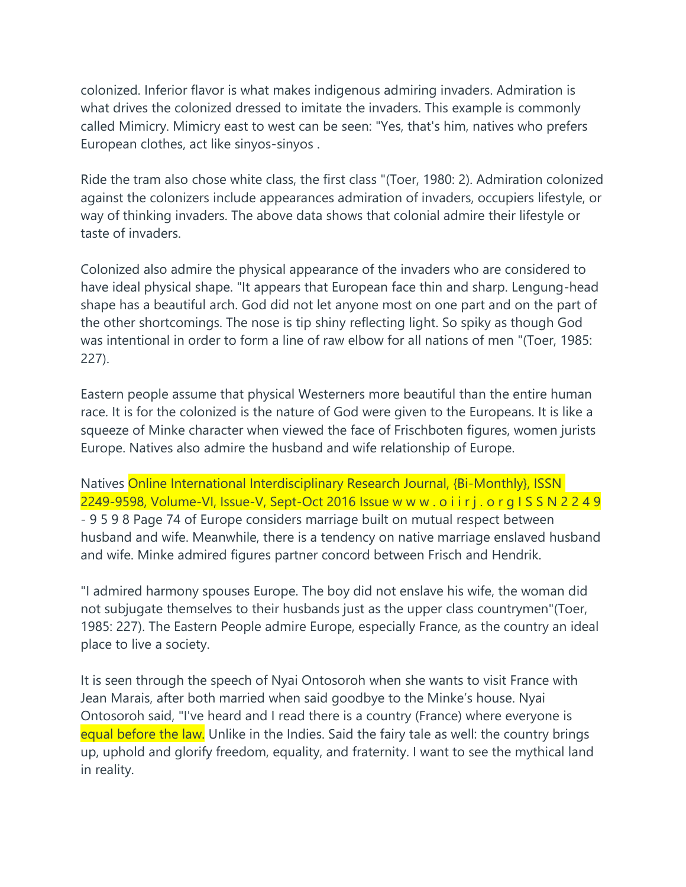colonized. Inferior flavor is what makes indigenous admiring invaders. Admiration is what drives the colonized dressed to imitate the invaders. This example is commonly called Mimicry. Mimicry east to west can be seen: "Yes, that's him, natives who prefers European clothes, act like sinyos-sinyos .

Ride the tram also chose white class, the first class "(Toer, 1980: 2). Admiration colonized against the colonizers include appearances admiration of invaders, occupiers lifestyle, or way of thinking invaders. The above data shows that colonial admire their lifestyle or taste of invaders.

Colonized also admire the physical appearance of the invaders who are considered to have ideal physical shape. "It appears that European face thin and sharp. Lengung-head shape has a beautiful arch. God did not let anyone most on one part and on the part of the other shortcomings. The nose is tip shiny reflecting light. So spiky as though God was intentional in order to form a line of raw elbow for all nations of men "(Toer, 1985: 227).

Eastern people assume that physical Westerners more beautiful than the entire human race. It is for the colonized is the nature of God were given to the Europeans. It is like a squeeze of Minke character when viewed the face of Frischboten figures, women jurists Europe. Natives also admire the husband and wife relationship of Europe.

Natives Online International Interdisciplinary Research Journal, {Bi-Monthly}, ISSN 2249-9598, Volume-VI, Issue-V, Sept-Oct 2016 Issue w w w . o i i r j . o r g I S S N 2 2 4 9 - 9 5 9 8 Page 74 of Europe considers marriage built on mutual respect between husband and wife. Meanwhile, there is a tendency on native marriage enslaved husband and wife. Minke admired figures partner concord between Frisch and Hendrik.

"I admired harmony spouses Europe. The boy did not enslave his wife, the woman did not subjugate themselves to their husbands just as the upper class countrymen"(Toer, 1985: 227). The Eastern People admire Europe, especially France, as the country an ideal place to live a society.

It is seen through the speech of Nyai Ontosoroh when she wants to visit France with Jean Marais, after both married when said goodbye to the Minke's house. Nyai Ontosoroh said, "I've heard and I read there is a country (France) where everyone is equal before the law. Unlike in the Indies. Said the fairy tale as well: the country brings up, uphold and glorify freedom, equality, and fraternity. I want to see the mythical land in reality.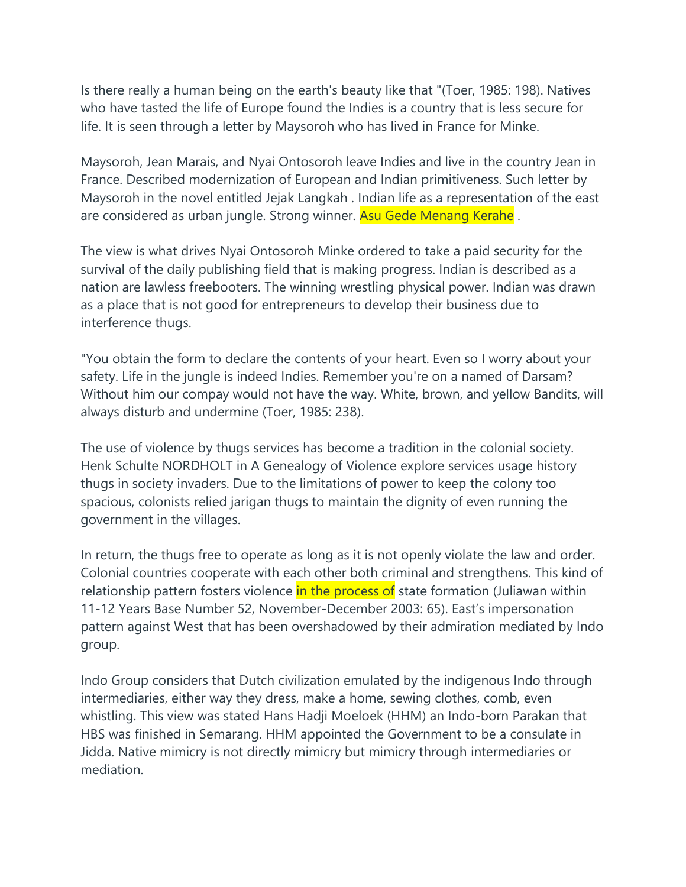Is there really a human being on the earth's beauty like that "(Toer, 1985: 198). Natives who have tasted the life of Europe found the Indies is a country that is less secure for life. It is seen through a letter by Maysoroh who has lived in France for Minke.

Maysoroh, Jean Marais, and Nyai Ontosoroh leave Indies and live in the country Jean in France. Described modernization of European and Indian primitiveness. Such letter by Maysoroh in the novel entitled Jejak Langkah . Indian life as a representation of the east are considered as urban jungle. Strong winner. Asu Gede Menang Kerahe.

The view is what drives Nyai Ontosoroh Minke ordered to take a paid security for the survival of the daily publishing field that is making progress. Indian is described as a nation are lawless freebooters. The winning wrestling physical power. Indian was drawn as a place that is not good for entrepreneurs to develop their business due to interference thugs.

"You obtain the form to declare the contents of your heart. Even so I worry about your safety. Life in the jungle is indeed Indies. Remember you're on a named of Darsam? Without him our compay would not have the way. White, brown, and yellow Bandits, will always disturb and undermine (Toer, 1985: 238).

The use of violence by thugs services has become a tradition in the colonial society. Henk Schulte NORDHOLT in A Genealogy of Violence explore services usage history thugs in society invaders. Due to the limitations of power to keep the colony too spacious, colonists relied jarigan thugs to maintain the dignity of even running the government in the villages.

In return, the thugs free to operate as long as it is not openly violate the law and order. Colonial countries cooperate with each other both criminal and strengthens. This kind of relationship pattern fosters violence in the process of state formation (Juliawan within 11-12 Years Base Number 52, November-December 2003: 65). East's impersonation pattern against West that has been overshadowed by their admiration mediated by Indo group.

Indo Group considers that Dutch civilization emulated by the indigenous Indo through intermediaries, either way they dress, make a home, sewing clothes, comb, even whistling. This view was stated Hans Hadji Moeloek (HHM) an Indo-born Parakan that HBS was finished in Semarang. HHM appointed the Government to be a consulate in Jidda. Native mimicry is not directly mimicry but mimicry through intermediaries or mediation.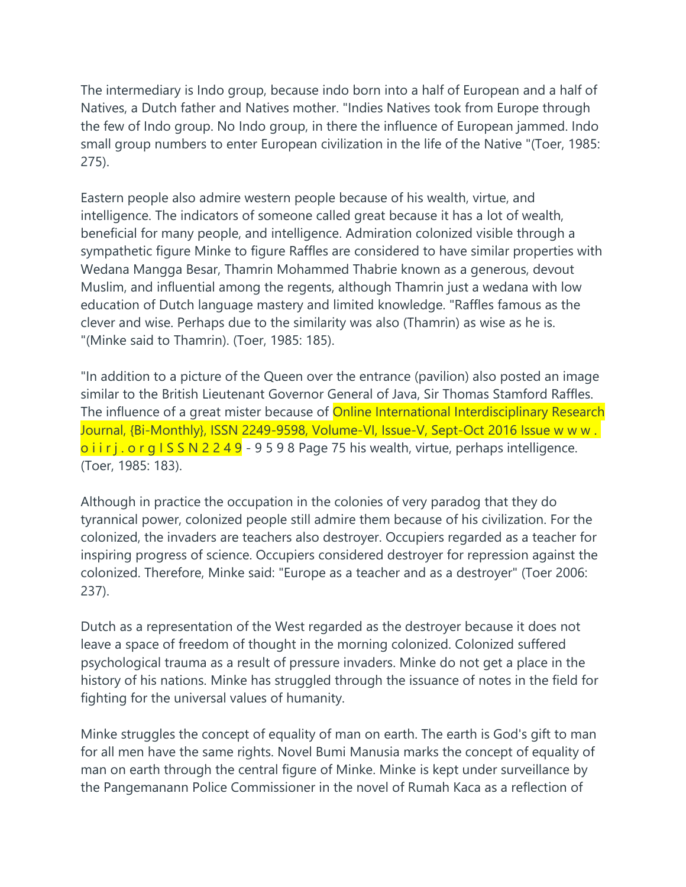The intermediary is Indo group, because indo born into a half of European and a half of Natives, a Dutch father and Natives mother. "Indies Natives took from Europe through the few of Indo group. No Indo group, in there the influence of European jammed. Indo small group numbers to enter European civilization in the life of the Native "(Toer, 1985: 275).

Eastern people also admire western people because of his wealth, virtue, and intelligence. The indicators of someone called great because it has a lot of wealth, beneficial for many people, and intelligence. Admiration colonized visible through a sympathetic figure Minke to figure Raffles are considered to have similar properties with Wedana Mangga Besar, Thamrin Mohammed Thabrie known as a generous, devout Muslim, and influential among the regents, although Thamrin just a wedana with low education of Dutch language mastery and limited knowledge. "Raffles famous as the clever and wise. Perhaps due to the similarity was also (Thamrin) as wise as he is. "(Minke said to Thamrin). (Toer, 1985: 185).

"In addition to a picture of the Queen over the entrance (pavilion) also posted an image similar to the British Lieutenant Governor General of Java, Sir Thomas Stamford Raffles. The influence of a great mister because of **Online International Interdisciplinary Research** Journal, {Bi-Monthly}, ISSN 2249-9598, Volume-VI, Issue-V, Sept-Oct 2016 Issue w w w .  $o$  i i r j . o r g I S S N 2 2 4 9 - 9 5 9 8 Page 75 his wealth, virtue, perhaps intelligence. (Toer, 1985: 183).

Although in practice the occupation in the colonies of very paradog that they do tyrannical power, colonized people still admire them because of his civilization. For the colonized, the invaders are teachers also destroyer. Occupiers regarded as a teacher for inspiring progress of science. Occupiers considered destroyer for repression against the colonized. Therefore, Minke said: "Europe as a teacher and as a destroyer" (Toer 2006: 237).

Dutch as a representation of the West regarded as the destroyer because it does not leave a space of freedom of thought in the morning colonized. Colonized suffered psychological trauma as a result of pressure invaders. Minke do not get a place in the history of his nations. Minke has struggled through the issuance of notes in the field for fighting for the universal values of humanity.

Minke struggles the concept of equality of man on earth. The earth is God's gift to man for all men have the same rights. Novel Bumi Manusia marks the concept of equality of man on earth through the central figure of Minke. Minke is kept under surveillance by the Pangemanann Police Commissioner in the novel of Rumah Kaca as a reflection of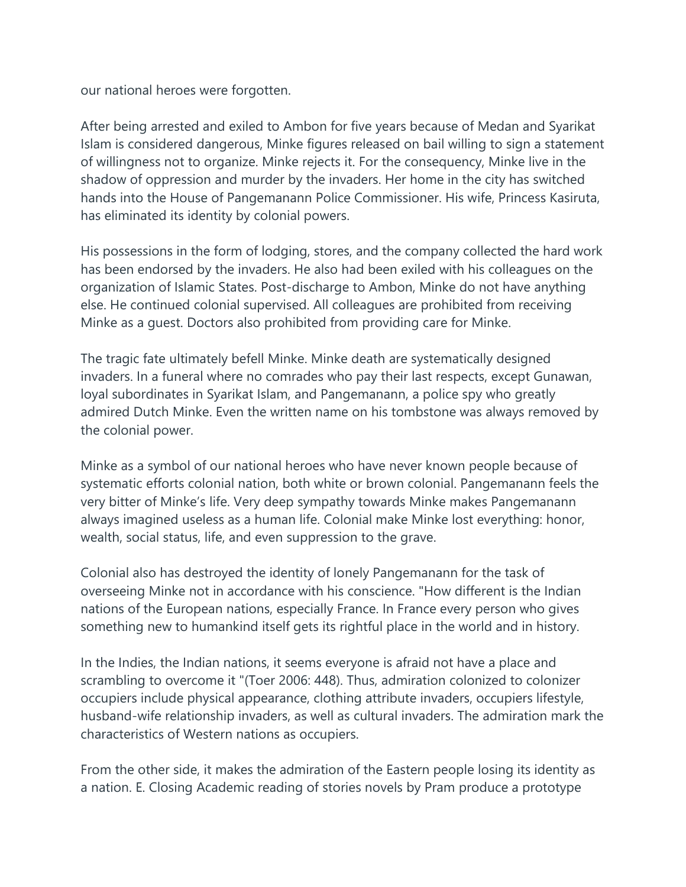our national heroes were forgotten.

After being arrested and exiled to Ambon for five years because of Medan and Syarikat Islam is considered dangerous, Minke figures released on bail willing to sign a statement of willingness not to organize. Minke rejects it. For the consequency, Minke live in the shadow of oppression and murder by the invaders. Her home in the city has switched hands into the House of Pangemanann Police Commissioner. His wife, Princess Kasiruta, has eliminated its identity by colonial powers.

His possessions in the form of lodging, stores, and the company collected the hard work has been endorsed by the invaders. He also had been exiled with his colleagues on the organization of Islamic States. Post-discharge to Ambon, Minke do not have anything else. He continued colonial supervised. All colleagues are prohibited from receiving Minke as a guest. Doctors also prohibited from providing care for Minke.

The tragic fate ultimately befell Minke. Minke death are systematically designed invaders. In a funeral where no comrades who pay their last respects, except Gunawan, loyal subordinates in Syarikat Islam, and Pangemanann, a police spy who greatly admired Dutch Minke. Even the written name on his tombstone was always removed by the colonial power.

Minke as a symbol of our national heroes who have never known people because of systematic efforts colonial nation, both white or brown colonial. Pangemanann feels the very bitter of Minke's life. Very deep sympathy towards Minke makes Pangemanann always imagined useless as a human life. Colonial make Minke lost everything: honor, wealth, social status, life, and even suppression to the grave.

Colonial also has destroyed the identity of lonely Pangemanann for the task of overseeing Minke not in accordance with his conscience. "How different is the Indian nations of the European nations, especially France. In France every person who gives something new to humankind itself gets its rightful place in the world and in history.

In the Indies, the Indian nations, it seems everyone is afraid not have a place and scrambling to overcome it "(Toer 2006: 448). Thus, admiration colonized to colonizer occupiers include physical appearance, clothing attribute invaders, occupiers lifestyle, husband-wife relationship invaders, as well as cultural invaders. The admiration mark the characteristics of Western nations as occupiers.

From the other side, it makes the admiration of the Eastern people losing its identity as a nation. E. Closing Academic reading of stories novels by Pram produce a prototype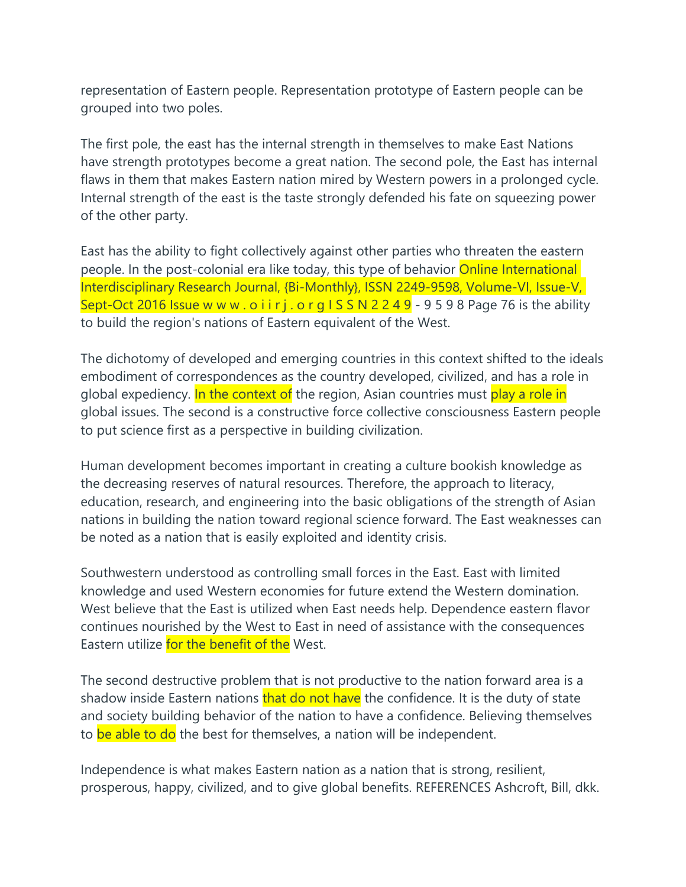representation of Eastern people. Representation prototype of Eastern people can be grouped into two poles.

The first pole, the east has the internal strength in themselves to make East Nations have strength prototypes become a great nation. The second pole, the East has internal flaws in them that makes Eastern nation mired by Western powers in a prolonged cycle. Internal strength of the east is the taste strongly defended his fate on squeezing power of the other party.

East has the ability to fight collectively against other parties who threaten the eastern people. In the post-colonial era like today, this type of behavior **Online International** Interdisciplinary Research Journal, {Bi-Monthly}, ISSN 2249-9598, Volume-VI, Issue-V, Sept-Oct 2016 Issue w w w . o i i r j . o r g  $1 S S N 2 2 4 9 - 9 5 9 8$  Page 76 is the ability to build the region's nations of Eastern equivalent of the West.

The dichotomy of developed and emerging countries in this context shifted to the ideals embodiment of correspondences as the country developed, civilized, and has a role in global expediency. In the context of the region, Asian countries must play a role in global issues. The second is a constructive force collective consciousness Eastern people to put science first as a perspective in building civilization.

Human development becomes important in creating a culture bookish knowledge as the decreasing reserves of natural resources. Therefore, the approach to literacy, education, research, and engineering into the basic obligations of the strength of Asian nations in building the nation toward regional science forward. The East weaknesses can be noted as a nation that is easily exploited and identity crisis.

Southwestern understood as controlling small forces in the East. East with limited knowledge and used Western economies for future extend the Western domination. West believe that the East is utilized when East needs help. Dependence eastern flavor continues nourished by the West to East in need of assistance with the consequences Eastern utilize for the benefit of the West.

The second destructive problem that is not productive to the nation forward area is a shadow inside Eastern nations that do not have the confidence. It is the duty of state and society building behavior of the nation to have a confidence. Believing themselves to be able to do the best for themselves, a nation will be independent.

Independence is what makes Eastern nation as a nation that is strong, resilient, prosperous, happy, civilized, and to give global benefits. REFERENCES Ashcroft, Bill, dkk.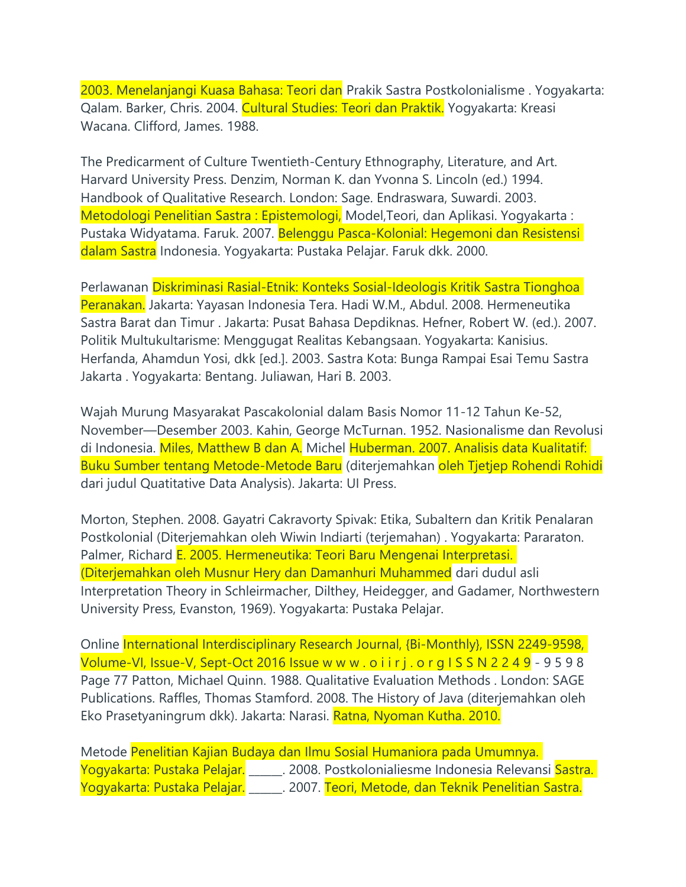2003. Menelanjangi Kuasa Bahasa: Teori dan Prakik Sastra Postkolonialisme . Yogyakarta: Qalam. Barker, Chris. 2004. Cultural Studies: Teori dan Praktik. Yogyakarta: Kreasi Wacana. Clifford, James. 1988.

The Predicarment of Culture Twentieth-Century Ethnography, Literature, and Art. Harvard University Press. Denzim, Norman K. dan Yvonna S. Lincoln (ed.) 1994. Handbook of Qualitative Research. London: Sage. Endraswara, Suwardi. 2003. Metodologi Penelitian Sastra : Epistemologi, Model,Teori, dan Aplikasi. Yogyakarta : Pustaka Widyatama. Faruk. 2007. Belenggu Pasca-Kolonial: Hegemoni dan Resistensi dalam Sastra Indonesia. Yogyakarta: Pustaka Pelajar. Faruk dkk. 2000.

Perlawanan Diskriminasi Rasial-Etnik: Konteks Sosial-Ideologis Kritik Sastra Tionghoa Peranakan. Jakarta: Yayasan Indonesia Tera. Hadi W.M., Abdul. 2008. Hermeneutika Sastra Barat dan Timur . Jakarta: Pusat Bahasa Depdiknas. Hefner, Robert W. (ed.). 2007. Politik Multukultarisme: Menggugat Realitas Kebangsaan. Yogyakarta: Kanisius. Herfanda, Ahamdun Yosi, dkk [ed.]. 2003. Sastra Kota: Bunga Rampai Esai Temu Sastra Jakarta . Yogyakarta: Bentang. Juliawan, Hari B. 2003.

Wajah Murung Masyarakat Pascakolonial dalam Basis Nomor 11-12 Tahun Ke-52, November—Desember 2003. Kahin, George McTurnan. 1952. Nasionalisme dan Revolusi di Indonesia. Miles, Matthew B dan A. Michel Huberman. 2007. Analisis data Kualitatif: Buku Sumber tentang Metode-Metode Baru (diterjemahkan oleh Tjetjep Rohendi Rohidi dari judul Quatitative Data Analysis). Jakarta: UI Press.

Morton, Stephen. 2008. Gayatri Cakravorty Spivak: Etika, Subaltern dan Kritik Penalaran Postkolonial (Diterjemahkan oleh Wiwin Indiarti (terjemahan) . Yogyakarta: Pararaton. Palmer, Richard E. 2005. Hermeneutika: Teori Baru Mengenai Interpretasi. (Diterjemahkan oleh Musnur Hery dan Damanhuri Muhammed dari dudul asli Interpretation Theory in Schleirmacher, Dilthey, Heidegger, and Gadamer, Northwestern University Press, Evanston, 1969). Yogyakarta: Pustaka Pelajar.

Online International Interdisciplinary Research Journal, {Bi-Monthly}, ISSN 2249-9598, Volume-VI, Issue-V, Sept-Oct 2016 Issue w w w . o i i r j . o r g I S S N 2 2 4 9 - 9 5 9 8 Page 77 Patton, Michael Quinn. 1988. Qualitative Evaluation Methods . London: SAGE Publications. Raffles, Thomas Stamford. 2008. The History of Java (diterjemahkan oleh Eko Prasetyaningrum dkk). Jakarta: Narasi. Ratna, Nyoman Kutha. 2010.

|                              | Metode Penelitian Kajian Budaya dan Ilmu Sosial Humaniora pada Umumnya. |  |
|------------------------------|-------------------------------------------------------------------------|--|
| Yogyakarta: Pustaka Pelajar. | . 2008. Postkolonialiesme Indonesia Relevansi <mark>Sastra.</mark>      |  |
| Yogyakarta: Pustaka Pelajar. | 2007. Teori, Metode, dan Teknik Penelitian Sastra.                      |  |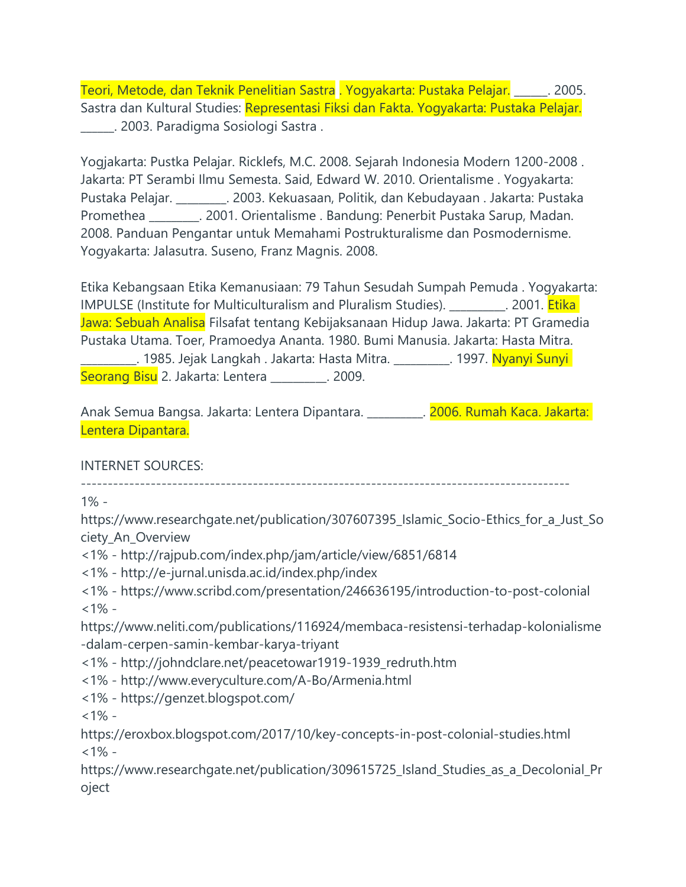Teori, Metode, dan Teknik Penelitian Sastra . Yogyakarta: Pustaka Pelajar. \_\_\_\_\_\_. 2005. Sastra dan Kultural Studies: Representasi Fiksi dan Fakta. Yogyakarta: Pustaka Pelajar. \_\_\_\_\_\_. 2003. Paradigma Sosiologi Sastra .

Yogjakarta: Pustka Pelajar. Ricklefs, M.C. 2008. Sejarah Indonesia Modern 1200-2008 . Jakarta: PT Serambi Ilmu Semesta. Said, Edward W. 2010. Orientalisme . Yogyakarta: Pustaka Pelajar. \_\_\_\_\_\_\_\_\_. 2003. Kekuasaan, Politik, dan Kebudayaan . Jakarta: Pustaka Promethea \_\_\_\_\_\_\_\_\_. 2001. Orientalisme . Bandung: Penerbit Pustaka Sarup, Madan. 2008. Panduan Pengantar untuk Memahami Postrukturalisme dan Posmodernisme. Yogyakarta: Jalasutra. Suseno, Franz Magnis. 2008.

Etika Kebangsaan Etika Kemanusiaan: 79 Tahun Sesudah Sumpah Pemuda . Yogyakarta: IMPULSE (Institute for Multiculturalism and Pluralism Studies). \_\_\_\_\_\_\_\_. 2001. Etika Jawa: Sebuah Analisa Filsafat tentang Kebijaksanaan Hidup Jawa. Jakarta: PT Gramedia Pustaka Utama. Toer, Pramoedya Ananta. 1980. Bumi Manusia. Jakarta: Hasta Mitra. \_\_\_\_\_\_\_\_\_\_. 1985. Jejak Langkah . Jakarta: Hasta Mitra. \_\_\_\_\_\_\_\_\_\_. 1997. Nyanyi Sunyi Seorang Bisu 2. Jakarta: Lentera \_\_\_\_\_\_\_\_\_. 2009.

Anak Semua Bangsa. Jakarta: Lentera Dipantara. \_\_\_\_\_\_\_\_\_\_. 2006. Rumah Kaca. Jakarta: Lentera Dipantara.

INTERNET SOURCES:

-------------------------------------------------------------------------------------------

1% -

https://www.researchgate.net/publication/307607395\_Islamic\_Socio-Ethics\_for\_a\_Just\_So ciety\_An\_Overview

<1% - http://rajpub.com/index.php/jam/article/view/6851/6814

<1% - http://e-jurnal.unisda.ac.id/index.php/index

<1% - https://www.scribd.com/presentation/246636195/introduction-to-post-colonial  $<1\%$  -

https://www.neliti.com/publications/116924/membaca-resistensi-terhadap-kolonialisme -dalam-cerpen-samin-kembar-karya-triyant

<1% - http://johndclare.net/peacetowar1919-1939\_redruth.htm

<1% - http://www.everyculture.com/A-Bo/Armenia.html

<1% - https://genzet.blogspot.com/

 $1\% -$ 

https://eroxbox.blogspot.com/2017/10/key-concepts-in-post-colonial-studies.html  $<1\%$  -

https://www.researchgate.net/publication/309615725\_Island\_Studies\_as\_a\_Decolonial\_Pr oject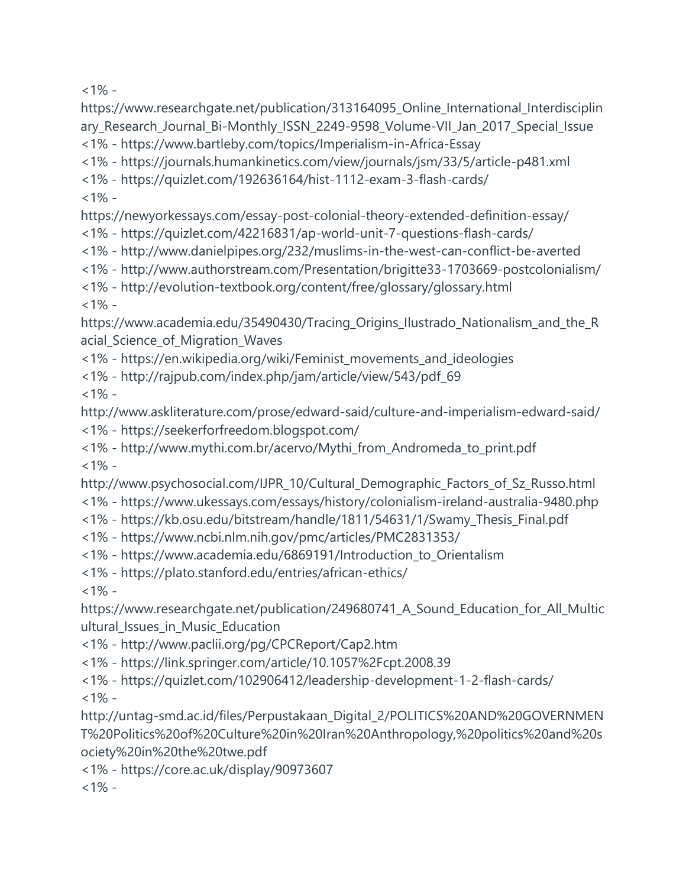$<1\%$  -

https://www.researchgate.net/publication/313164095\_Online\_International\_Interdisciplin ary\_Research\_Journal\_Bi-Monthly\_ISSN\_2249-9598\_Volume-VII\_Jan\_2017\_Special\_Issue <1% - https://www.bartleby.com/topics/Imperialism-in-Africa-Essay

<1% - https://journals.humankinetics.com/view/journals/jsm/33/5/article-p481.xml

<1% - https://quizlet.com/192636164/hist-1112-exam-3-flash-cards/

 $1% -$ 

https://newyorkessays.com/essay-post-colonial-theory-extended-definition-essay/

<1% - https://quizlet.com/42216831/ap-world-unit-7-questions-flash-cards/

- <1% http://www.danielpipes.org/232/muslims-in-the-west-can-conflict-be-averted
- <1% http://www.authorstream.com/Presentation/brigitte33-1703669-postcolonialism/
- <1% http://evolution-textbook.org/content/free/glossary/glossary.html

 $<1\%$  -

https://www.academia.edu/35490430/Tracing\_Origins\_Ilustrado\_Nationalism\_and\_the\_R acial\_Science\_of\_Migration\_Waves

<1% - https://en.wikipedia.org/wiki/Feminist\_movements\_and\_ideologies

<1% - http://rajpub.com/index.php/jam/article/view/543/pdf\_69

 $<1\%$  -

http://www.askliterature.com/prose/edward-said/culture-and-imperialism-edward-said/

- <1% https://seekerforfreedom.blogspot.com/
- <1% http://www.mythi.com.br/acervo/Mythi\_from\_Andromeda\_to\_print.pdf  $<1\%$  -
- http://www.psychosocial.com/IJPR\_10/Cultural\_Demographic\_Factors\_of\_Sz\_Russo.html
- <1% https://www.ukessays.com/essays/history/colonialism-ireland-australia-9480.php
- <1% https://kb.osu.edu/bitstream/handle/1811/54631/1/Swamy\_Thesis\_Final.pdf
- <1% https://www.ncbi.nlm.nih.gov/pmc/articles/PMC2831353/
- <1% https://www.academia.edu/6869191/Introduction\_to\_Orientalism
- <1% https://plato.stanford.edu/entries/african-ethics/

 $<1\%$  -

https://www.researchgate.net/publication/249680741\_A\_Sound\_Education\_for\_All\_Multic ultural\_Issues\_in\_Music\_Education

<1% - http://www.paclii.org/pg/CPCReport/Cap2.htm

<1% - https://link.springer.com/article/10.1057%2Fcpt.2008.39

<1% - https://quizlet.com/102906412/leadership-development-1-2-flash-cards/  $<1\%$  -

http://untag-smd.ac.id/files/Perpustakaan\_Digital\_2/POLITICS%20AND%20GOVERNMEN T%20Politics%20of%20Culture%20in%20Iran%20Anthropology,%20politics%20and%20s ociety%20in%20the%20twe.pdf

<1% - https://core.ac.uk/display/90973607

 $<1\%$  -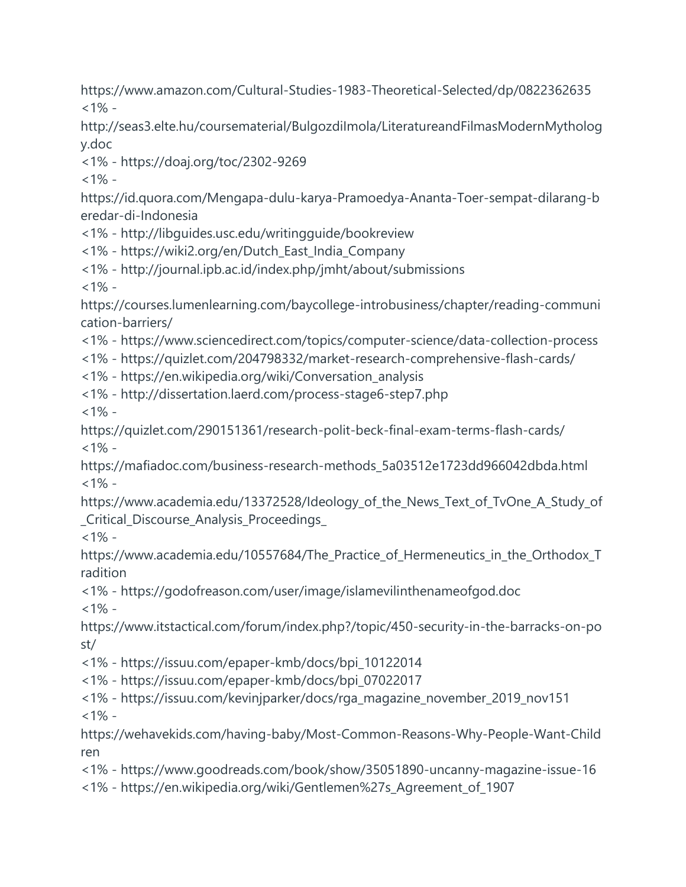https://www.amazon.com/Cultural-Studies-1983-Theoretical-Selected/dp/0822362635  $<1\%$  -

http://seas3.elte.hu/coursematerial/BulgozdiImola/LiteratureandFilmasModernMytholog y.doc

<1% - https://doaj.org/toc/2302-9269

 $<1\%$  -

https://id.quora.com/Mengapa-dulu-karya-Pramoedya-Ananta-Toer-sempat-dilarang-b eredar-di-Indonesia

<1% - http://libguides.usc.edu/writingguide/bookreview

<1% - https://wiki2.org/en/Dutch\_East\_India\_Company

<1% - http://journal.ipb.ac.id/index.php/jmht/about/submissions

 $<1\%$  -

https://courses.lumenlearning.com/baycollege-introbusiness/chapter/reading-communi cation-barriers/

- <1% https://www.sciencedirect.com/topics/computer-science/data-collection-process
- <1% https://quizlet.com/204798332/market-research-comprehensive-flash-cards/
- <1% https://en.wikipedia.org/wiki/Conversation\_analysis
- <1% http://dissertation.laerd.com/process-stage6-step7.php

 $<1\%$  -

https://quizlet.com/290151361/research-polit-beck-final-exam-terms-flash-cards/  $<1\%$  -

https://mafiadoc.com/business-research-methods\_5a03512e1723dd966042dbda.html  $<1\%$  -

https://www.academia.edu/13372528/Ideology\_of\_the\_News\_Text\_of\_TvOne\_A\_Study\_of \_Critical\_Discourse\_Analysis\_Proceedings\_

 $<1\%$  -

https://www.academia.edu/10557684/The Practice of Hermeneutics in the Orthodox T radition

<1% - https://godofreason.com/user/image/islamevilinthenameofgod.doc  $<1\%$  -

https://www.itstactical.com/forum/index.php?/topic/450-security-in-the-barracks-on-po st/

<1% - https://issuu.com/epaper-kmb/docs/bpi\_10122014

<1% - https://issuu.com/epaper-kmb/docs/bpi\_07022017

<1% - https://issuu.com/kevinjparker/docs/rga\_magazine\_november\_2019\_nov151  $<1\%$  -

https://wehavekids.com/having-baby/Most-Common-Reasons-Why-People-Want-Child ren

<1% - https://www.goodreads.com/book/show/35051890-uncanny-magazine-issue-16

<1% - https://en.wikipedia.org/wiki/Gentlemen%27s\_Agreement\_of\_1907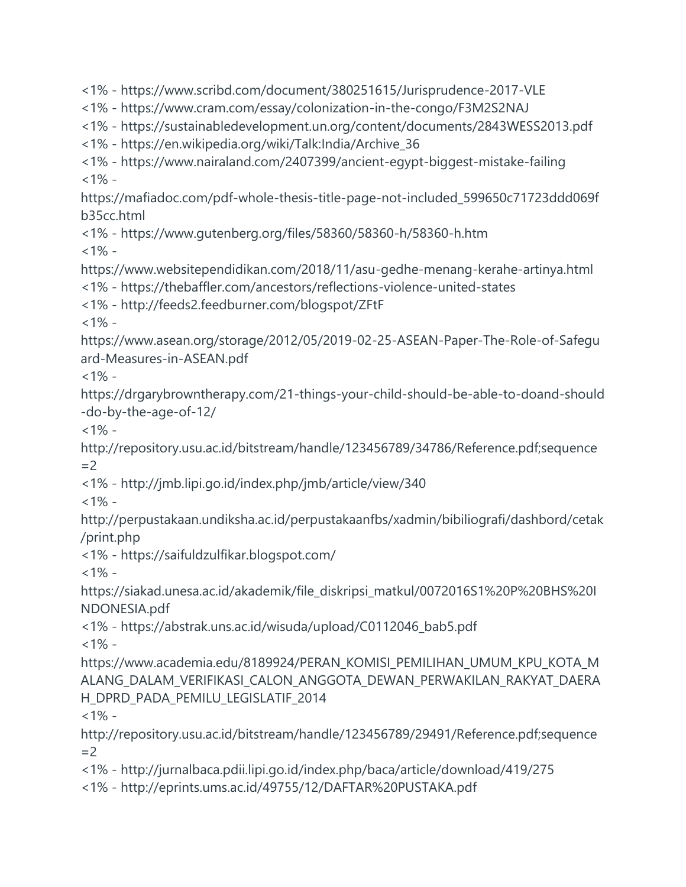<1% - https://www.scribd.com/document/380251615/Jurisprudence-2017-VLE

<1% - https://www.cram.com/essay/colonization-in-the-congo/F3M2S2NAJ

<1% - https://sustainabledevelopment.un.org/content/documents/2843WESS2013.pdf

<1% - https://en.wikipedia.org/wiki/Talk:India/Archive\_36

<1% - https://www.nairaland.com/2407399/ancient-egypt-biggest-mistake-failing  $<1\%$  -

https://mafiadoc.com/pdf-whole-thesis-title-page-not-included\_599650c71723ddd069f b35cc.html

<1% - https://www.gutenberg.org/files/58360/58360-h/58360-h.htm

 $<1\%$  -

https://www.websitependidikan.com/2018/11/asu-gedhe-menang-kerahe-artinya.html

<1% - https://thebaffler.com/ancestors/reflections-violence-united-states

<1% - http://feeds2.feedburner.com/blogspot/ZFtF

 $<1\%$  -

https://www.asean.org/storage/2012/05/2019-02-25-ASEAN-Paper-The-Role-of-Safegu ard-Measures-in-ASEAN.pdf

 $<1\%$  -

https://drgarybrowntherapy.com/21-things-your-child-should-be-able-to-doand-should -do-by-the-age-of-12/

 $<1\%$  -

http://repository.usu.ac.id/bitstream/handle/123456789/34786/Reference.pdf;sequence  $=2$ 

<1% - http://jmb.lipi.go.id/index.php/jmb/article/view/340

 $<1\%$  -

http://perpustakaan.undiksha.ac.id/perpustakaanfbs/xadmin/bibiliografi/dashbord/cetak /print.php

<1% - https://saifuldzulfikar.blogspot.com/

 $<1\%$  -

https://siakad.unesa.ac.id/akademik/file\_diskripsi\_matkul/0072016S1%20P%20BHS%20I NDONESIA.pdf

<1% - https://abstrak.uns.ac.id/wisuda/upload/C0112046\_bab5.pdf  $<1\%$  -

https://www.academia.edu/8189924/PERAN\_KOMISI\_PEMILIHAN\_UMUM\_KPU\_KOTA\_M ALANG\_DALAM\_VERIFIKASI\_CALON\_ANGGOTA\_DEWAN\_PERWAKILAN\_RAKYAT\_DAERA H\_DPRD\_PADA\_PEMILU\_LEGISLATIF\_2014

 $<1\%$  -

http://repository.usu.ac.id/bitstream/handle/123456789/29491/Reference.pdf;sequence  $=2$ 

<1% - http://jurnalbaca.pdii.lipi.go.id/index.php/baca/article/download/419/275

<1% - http://eprints.ums.ac.id/49755/12/DAFTAR%20PUSTAKA.pdf